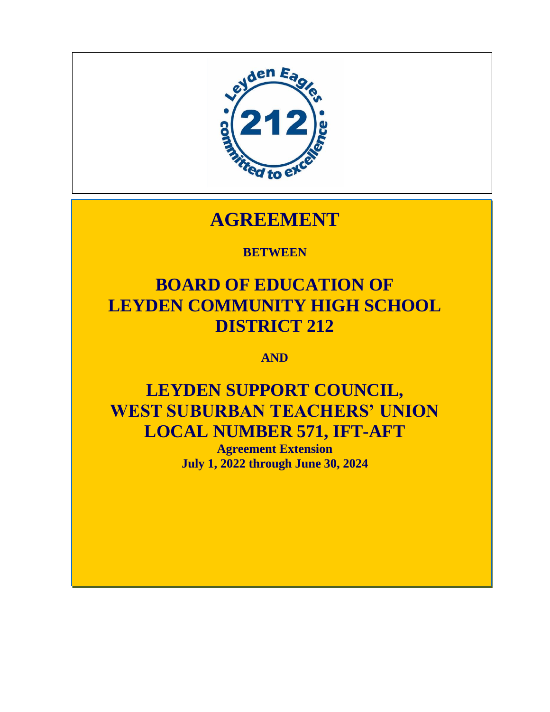

# **AGREEMENT**

# **BETWEEN**

# **BOARD OF EDUCATION OF LEYDEN COMMUNITY HIGH SCHOOL DISTRICT 212**

**AND**

# **LEYDEN SUPPORT COUNCIL, WEST SUBURBAN TEACHERS' UNION LOCAL NUMBER 571, IFT-AFT**

**Agreement Extension July 1, 2022 through June 30, 2024**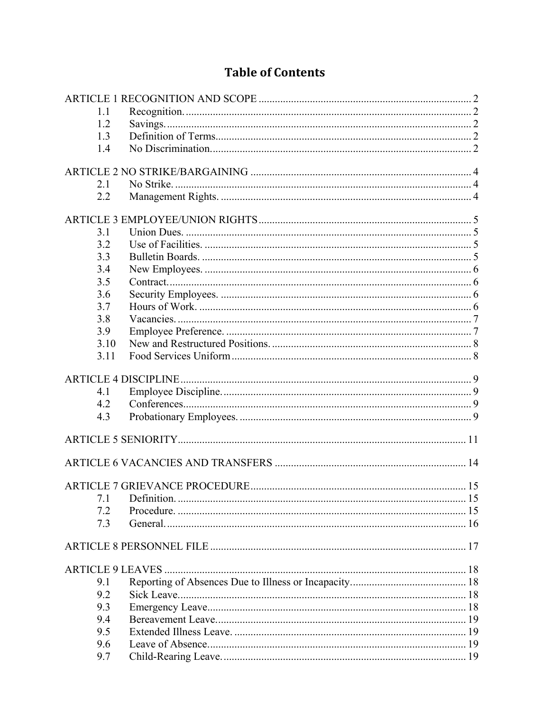# **Table of Contents**

| 1.1  |  |
|------|--|
| 1.2  |  |
| 1.3  |  |
| 1.4  |  |
|      |  |
|      |  |
| 2.1  |  |
| 2.2  |  |
|      |  |
| 3.1  |  |
| 3.2  |  |
| 3.3  |  |
| 3.4  |  |
|      |  |
| 3.5  |  |
| 3.6  |  |
| 3.7  |  |
| 3.8  |  |
| 3.9  |  |
| 3.10 |  |
| 3.11 |  |
|      |  |
| 4.1  |  |
| 4.2  |  |
| 4.3  |  |
|      |  |
|      |  |
|      |  |
|      |  |
|      |  |
| 7.1  |  |
|      |  |
| 7.2  |  |
| 7.3  |  |
|      |  |
|      |  |
|      |  |
| 9.1  |  |
| 9.2  |  |
| 9.3  |  |
| 9.4  |  |
| 9.5  |  |
| 9.6  |  |
| 9.7  |  |
|      |  |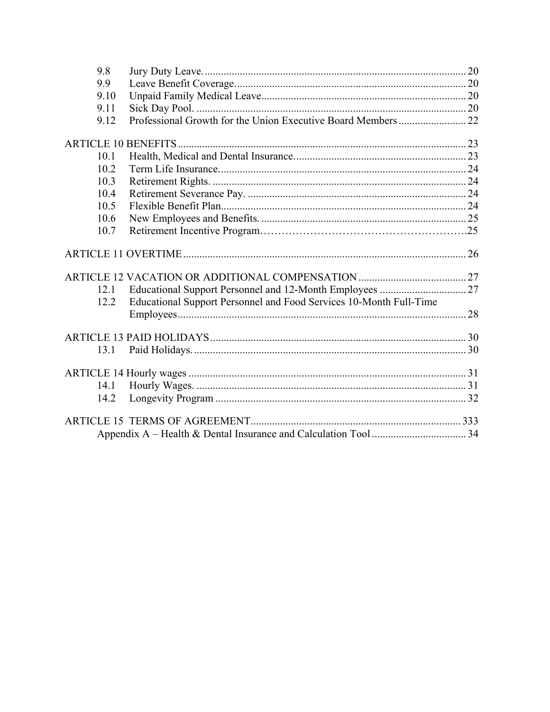| 9.8  |                                                                    |  |
|------|--------------------------------------------------------------------|--|
| 9.9  |                                                                    |  |
| 9.10 |                                                                    |  |
| 9.11 |                                                                    |  |
| 9.12 |                                                                    |  |
|      |                                                                    |  |
| 10.1 |                                                                    |  |
| 10.2 |                                                                    |  |
| 10.3 |                                                                    |  |
| 10.4 |                                                                    |  |
| 10.5 |                                                                    |  |
| 10.6 |                                                                    |  |
| 10.7 |                                                                    |  |
|      |                                                                    |  |
|      |                                                                    |  |
| 12.1 |                                                                    |  |
| 12.2 | Educational Support Personnel and Food Services 10-Month Full-Time |  |
|      |                                                                    |  |
|      |                                                                    |  |
| 13.1 |                                                                    |  |
|      |                                                                    |  |
| 14.1 |                                                                    |  |
| 14.2 |                                                                    |  |
|      |                                                                    |  |
|      |                                                                    |  |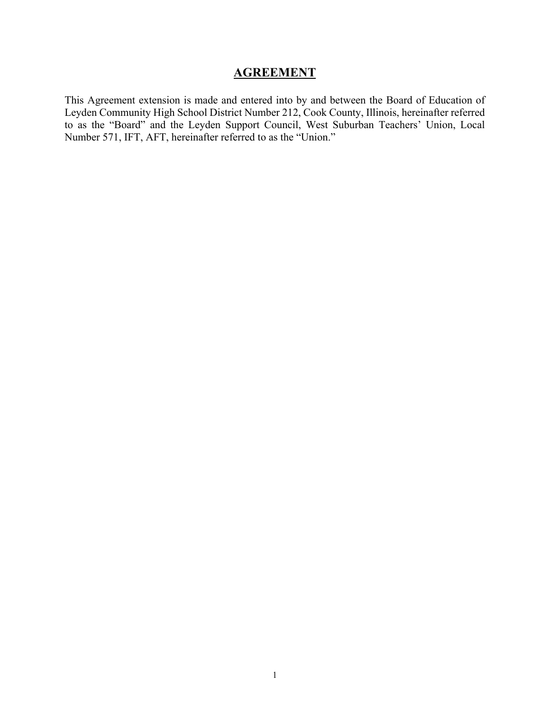# **AGREEMENT**

This Agreement extension is made and entered into by and between the Board of Education of Leyden Community High School District Number 212, Cook County, Illinois, hereinafter referred to as the "Board" and the Leyden Support Council, West Suburban Teachers' Union, Local Number 571, IFT, AFT, hereinafter referred to as the "Union."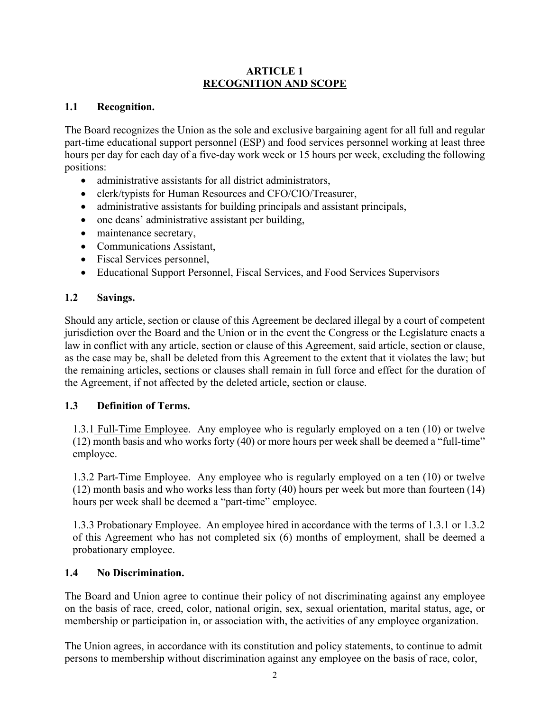#### **ARTICLE 1 RECOGNITION AND SCOPE**

# **1.1 Recognition.**

The Board recognizes the Union as the sole and exclusive bargaining agent for all full and regular part-time educational support personnel (ESP) and food services personnel working at least three hours per day for each day of a five-day work week or 15 hours per week, excluding the following positions:

- administrative assistants for all district administrators,
- clerk/typists for Human Resources and CFO/CIO/Treasurer,
- administrative assistants for building principals and assistant principals,
- one deans' administrative assistant per building,
- maintenance secretary,
- Communications Assistant,
- Fiscal Services personnel,
- Educational Support Personnel, Fiscal Services, and Food Services Supervisors

# **1.2 Savings.**

Should any article, section or clause of this Agreement be declared illegal by a court of competent jurisdiction over the Board and the Union or in the event the Congress or the Legislature enacts a law in conflict with any article, section or clause of this Agreement, said article, section or clause, as the case may be, shall be deleted from this Agreement to the extent that it violates the law; but the remaining articles, sections or clauses shall remain in full force and effect for the duration of the Agreement, if not affected by the deleted article, section or clause.

# **1.3 Definition of Terms.**

1.3.1 Full-Time Employee. Any employee who is regularly employed on a ten (10) or twelve (12) month basis and who works forty (40) or more hours per week shall be deemed a "full-time" employee.

1.3.2 Part-Time Employee. Any employee who is regularly employed on a ten (10) or twelve (12) month basis and who works less than forty (40) hours per week but more than fourteen (14) hours per week shall be deemed a "part-time" employee.

1.3.3 Probationary Employee. An employee hired in accordance with the terms of 1.3.1 or 1.3.2 of this Agreement who has not completed six (6) months of employment, shall be deemed a probationary employee.

# **1.4 No Discrimination.**

The Board and Union agree to continue their policy of not discriminating against any employee on the basis of race, creed, color, national origin, sex, sexual orientation, marital status, age, or membership or participation in, or association with, the activities of any employee organization.

The Union agrees, in accordance with its constitution and policy statements, to continue to admit persons to membership without discrimination against any employee on the basis of race, color,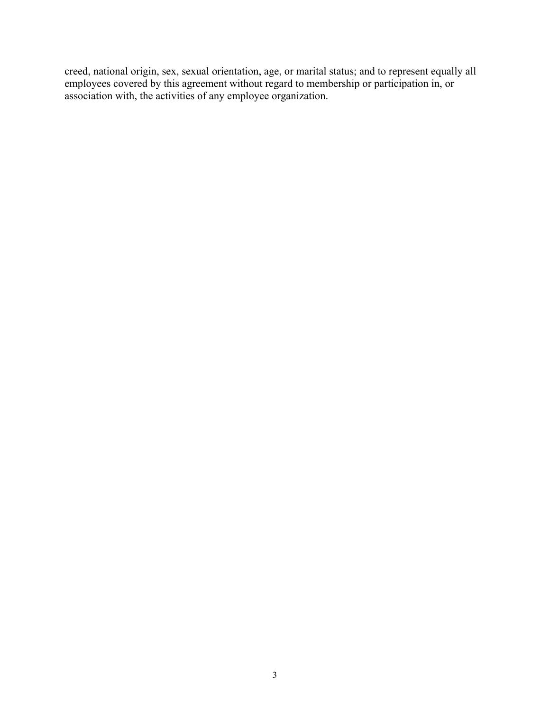creed, national origin, sex, sexual orientation, age, or marital status; and to represent equally all employees covered by this agreement without regard to membership or participation in, or association with, the activities of any employee organization.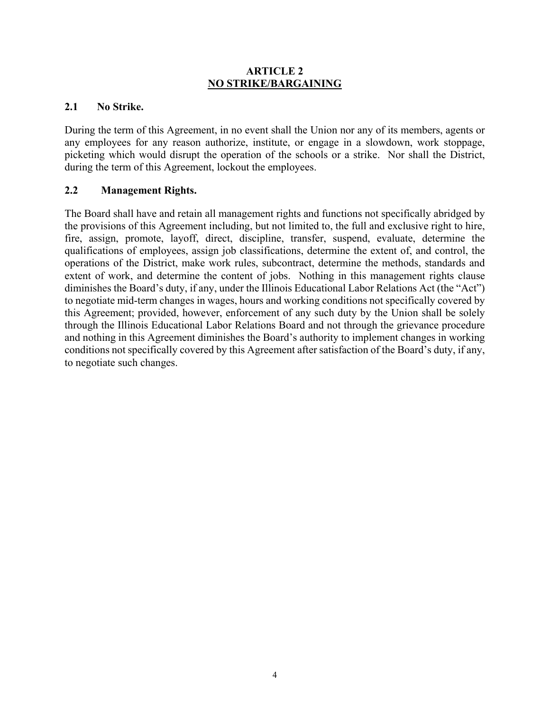#### **ARTICLE 2 NO STRIKE/BARGAINING**

#### **2.1 No Strike.**

During the term of this Agreement, in no event shall the Union nor any of its members, agents or any employees for any reason authorize, institute, or engage in a slowdown, work stoppage, picketing which would disrupt the operation of the schools or a strike. Nor shall the District, during the term of this Agreement, lockout the employees.

#### **2.2 Management Rights.**

The Board shall have and retain all management rights and functions not specifically abridged by the provisions of this Agreement including, but not limited to, the full and exclusive right to hire, fire, assign, promote, layoff, direct, discipline, transfer, suspend, evaluate, determine the qualifications of employees, assign job classifications, determine the extent of, and control, the operations of the District, make work rules, subcontract, determine the methods, standards and extent of work, and determine the content of jobs. Nothing in this management rights clause diminishes the Board's duty, if any, under the Illinois Educational Labor Relations Act (the "Act") to negotiate mid-term changes in wages, hours and working conditions not specifically covered by this Agreement; provided, however, enforcement of any such duty by the Union shall be solely through the Illinois Educational Labor Relations Board and not through the grievance procedure and nothing in this Agreement diminishes the Board's authority to implement changes in working conditions not specifically covered by this Agreement after satisfaction of the Board's duty, if any, to negotiate such changes.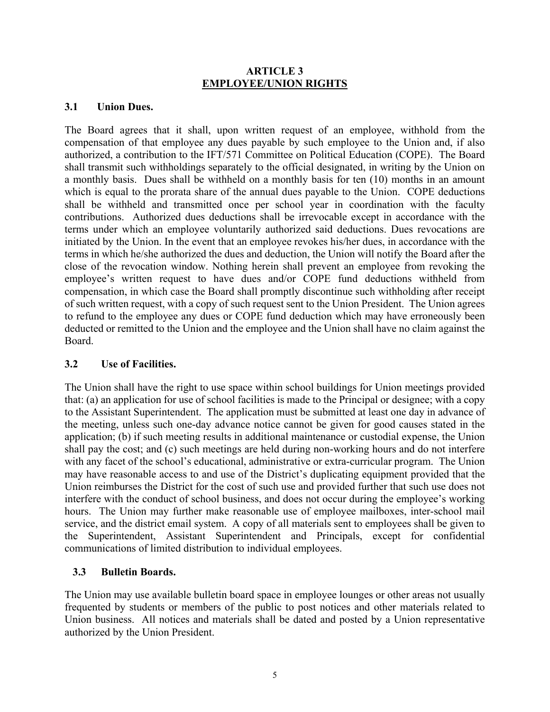#### **ARTICLE 3 EMPLOYEE/UNION RIGHTS**

#### **3.1 Union Dues.**

The Board agrees that it shall, upon written request of an employee, withhold from the compensation of that employee any dues payable by such employee to the Union and, if also authorized, a contribution to the IFT/571 Committee on Political Education (COPE). The Board shall transmit such withholdings separately to the official designated, in writing by the Union on a monthly basis. Dues shall be withheld on a monthly basis for ten (10) months in an amount which is equal to the prorata share of the annual dues payable to the Union. COPE deductions shall be withheld and transmitted once per school year in coordination with the faculty contributions. Authorized dues deductions shall be irrevocable except in accordance with the terms under which an employee voluntarily authorized said deductions. Dues revocations are initiated by the Union. In the event that an employee revokes his/her dues, in accordance with the terms in which he/she authorized the dues and deduction, the Union will notify the Board after the close of the revocation window. Nothing herein shall prevent an employee from revoking the employee's written request to have dues and/or COPE fund deductions withheld from compensation, in which case the Board shall promptly discontinue such withholding after receipt of such written request, with a copy of such request sent to the Union President. The Union agrees to refund to the employee any dues or COPE fund deduction which may have erroneously been deducted or remitted to the Union and the employee and the Union shall have no claim against the Board.

# **3.2 Use of Facilities.**

The Union shall have the right to use space within school buildings for Union meetings provided that: (a) an application for use of school facilities is made to the Principal or designee; with a copy to the Assistant Superintendent. The application must be submitted at least one day in advance of the meeting, unless such one-day advance notice cannot be given for good causes stated in the application; (b) if such meeting results in additional maintenance or custodial expense, the Union shall pay the cost; and (c) such meetings are held during non-working hours and do not interfere with any facet of the school's educational, administrative or extra-curricular program. The Union may have reasonable access to and use of the District's duplicating equipment provided that the Union reimburses the District for the cost of such use and provided further that such use does not interfere with the conduct of school business, and does not occur during the employee's working hours. The Union may further make reasonable use of employee mailboxes, inter-school mail service, and the district email system. A copy of all materials sent to employees shall be given to the Superintendent, Assistant Superintendent and Principals, except for confidential communications of limited distribution to individual employees.

# **3.3 Bulletin Boards.**

The Union may use available bulletin board space in employee lounges or other areas not usually frequented by students or members of the public to post notices and other materials related to Union business. All notices and materials shall be dated and posted by a Union representative authorized by the Union President.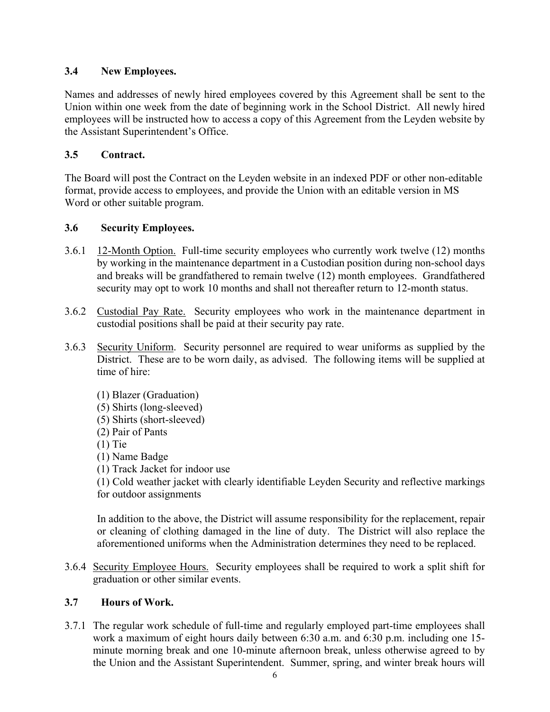# **3.4 New Employees.**

Names and addresses of newly hired employees covered by this Agreement shall be sent to the Union within one week from the date of beginning work in the School District. All newly hired employees will be instructed how to access a copy of this Agreement from the Leyden website by the Assistant Superintendent's Office.

# **3.5 Contract.**

The Board will post the Contract on the Leyden website in an indexed PDF or other non-editable format, provide access to employees, and provide the Union with an editable version in MS Word or other suitable program.

# **3.6 Security Employees.**

- 3.6.1 12-Month Option. Full-time security employees who currently work twelve (12) months by working in the maintenance department in a Custodian position during non-school days and breaks will be grandfathered to remain twelve (12) month employees. Grandfathered security may opt to work 10 months and shall not thereafter return to 12-month status.
- 3.6.2 Custodial Pay Rate. Security employees who work in the maintenance department in custodial positions shall be paid at their security pay rate.
- 3.6.3 Security Uniform. Security personnel are required to wear uniforms as supplied by the District. These are to be worn daily, as advised. The following items will be supplied at time of hire:
	- (1) Blazer (Graduation) (5) Shirts (long-sleeved) (5) Shirts (short-sleeved) (2) Pair of Pants (1) Tie (1) Name Badge (1) Track Jacket for indoor use (1) Cold weather jacket with clearly identifiable Leyden Security and reflective markings

for outdoor assignments

In addition to the above, the District will assume responsibility for the replacement, repair or cleaning of clothing damaged in the line of duty. The District will also replace the aforementioned uniforms when the Administration determines they need to be replaced.

3.6.4 Security Employee Hours. Security employees shall be required to work a split shift for graduation or other similar events.

# **3.7 Hours of Work.**

3.7.1 The regular work schedule of full-time and regularly employed part-time employees shall work a maximum of eight hours daily between 6:30 a.m. and 6:30 p.m. including one 15 minute morning break and one 10-minute afternoon break, unless otherwise agreed to by the Union and the Assistant Superintendent. Summer, spring, and winter break hours will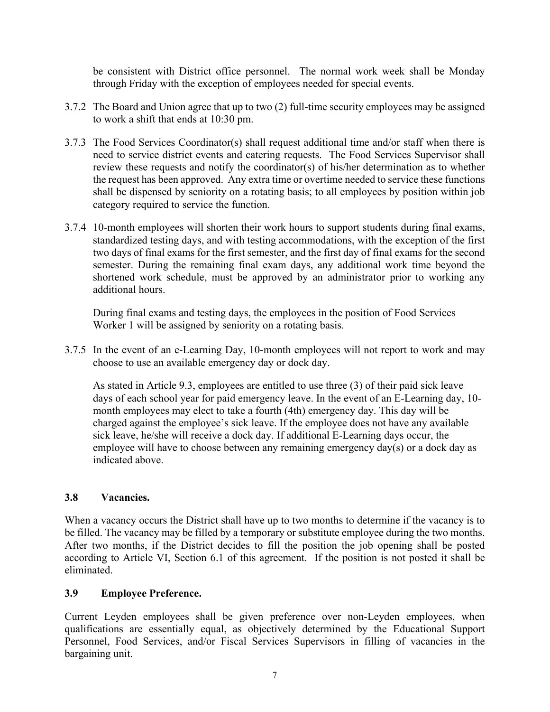be consistent with District office personnel. The normal work week shall be Monday through Friday with the exception of employees needed for special events.

- 3.7.2 The Board and Union agree that up to two (2) full-time security employees may be assigned to work a shift that ends at 10:30 pm.
- 3.7.3 The Food Services Coordinator(s) shall request additional time and/or staff when there is need to service district events and catering requests. The Food Services Supervisor shall review these requests and notify the coordinator(s) of his/her determination as to whether the request has been approved. Any extra time or overtime needed to service these functions shall be dispensed by seniority on a rotating basis; to all employees by position within job category required to service the function.
- 3.7.4 10-month employees will shorten their work hours to support students during final exams, standardized testing days, and with testing accommodations, with the exception of the first two days of final exams for the first semester, and the first day of final exams for the second semester. During the remaining final exam days, any additional work time beyond the shortened work schedule, must be approved by an administrator prior to working any additional hours.

During final exams and testing days, the employees in the position of Food Services Worker 1 will be assigned by seniority on a rotating basis.

3.7.5 In the event of an e-Learning Day, 10-month employees will not report to work and may choose to use an available emergency day or dock day.

As stated in Article 9.3, employees are entitled to use three (3) of their paid sick leave days of each school year for paid emergency leave. In the event of an E-Learning day, 10 month employees may elect to take a fourth (4th) emergency day. This day will be charged against the employee's sick leave. If the employee does not have any available sick leave, he/she will receive a dock day. If additional E-Learning days occur, the employee will have to choose between any remaining emergency day(s) or a dock day as indicated above.

# **3.8 Vacancies.**

When a vacancy occurs the District shall have up to two months to determine if the vacancy is to be filled. The vacancy may be filled by a temporary or substitute employee during the two months. After two months, if the District decides to fill the position the job opening shall be posted according to Article VI, Section 6.1 of this agreement. If the position is not posted it shall be eliminated.

# **3.9 Employee Preference.**

Current Leyden employees shall be given preference over non-Leyden employees, when qualifications are essentially equal, as objectively determined by the Educational Support Personnel, Food Services, and/or Fiscal Services Supervisors in filling of vacancies in the bargaining unit.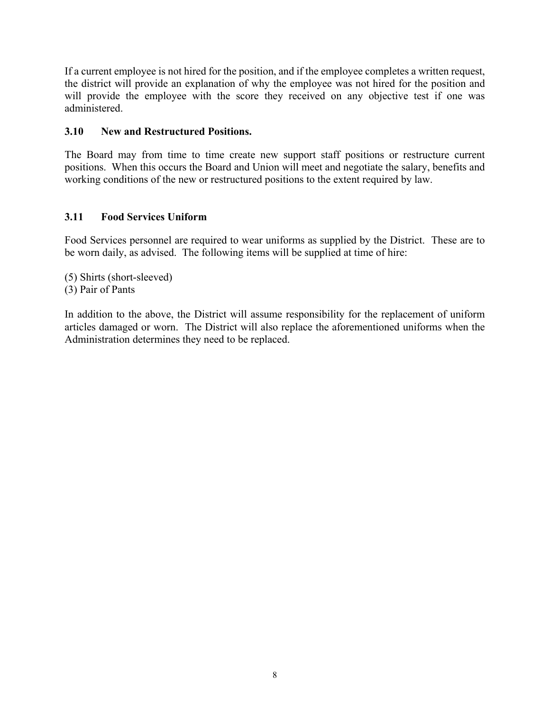If a current employee is not hired for the position, and if the employee completes a written request, the district will provide an explanation of why the employee was not hired for the position and will provide the employee with the score they received on any objective test if one was administered.

# **3.10 New and Restructured Positions.**

The Board may from time to time create new support staff positions or restructure current positions. When this occurs the Board and Union will meet and negotiate the salary, benefits and working conditions of the new or restructured positions to the extent required by law.

# **3.11 Food Services Uniform**

Food Services personnel are required to wear uniforms as supplied by the District. These are to be worn daily, as advised. The following items will be supplied at time of hire:

(5) Shirts (short-sleeved) (3) Pair of Pants

In addition to the above, the District will assume responsibility for the replacement of uniform articles damaged or worn. The District will also replace the aforementioned uniforms when the Administration determines they need to be replaced.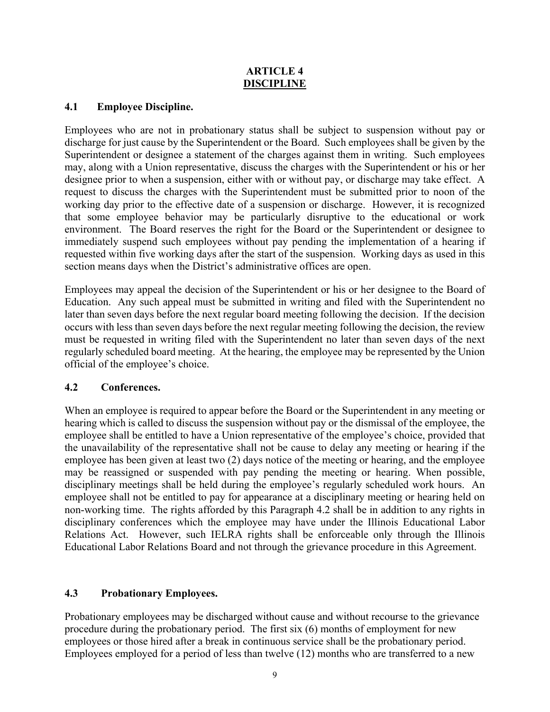#### **ARTICLE 4 DISCIPLINE**

#### **4.1 Employee Discipline.**

Employees who are not in probationary status shall be subject to suspension without pay or discharge for just cause by the Superintendent or the Board. Such employees shall be given by the Superintendent or designee a statement of the charges against them in writing. Such employees may, along with a Union representative, discuss the charges with the Superintendent or his or her designee prior to when a suspension, either with or without pay, or discharge may take effect. A request to discuss the charges with the Superintendent must be submitted prior to noon of the working day prior to the effective date of a suspension or discharge. However, it is recognized that some employee behavior may be particularly disruptive to the educational or work environment. The Board reserves the right for the Board or the Superintendent or designee to immediately suspend such employees without pay pending the implementation of a hearing if requested within five working days after the start of the suspension. Working days as used in this section means days when the District's administrative offices are open.

Employees may appeal the decision of the Superintendent or his or her designee to the Board of Education. Any such appeal must be submitted in writing and filed with the Superintendent no later than seven days before the next regular board meeting following the decision. If the decision occurs with less than seven days before the next regular meeting following the decision, the review must be requested in writing filed with the Superintendent no later than seven days of the next regularly scheduled board meeting. At the hearing, the employee may be represented by the Union official of the employee's choice.

# **4.2 Conferences.**

When an employee is required to appear before the Board or the Superintendent in any meeting or hearing which is called to discuss the suspension without pay or the dismissal of the employee, the employee shall be entitled to have a Union representative of the employee's choice, provided that the unavailability of the representative shall not be cause to delay any meeting or hearing if the employee has been given at least two (2) days notice of the meeting or hearing, and the employee may be reassigned or suspended with pay pending the meeting or hearing. When possible, disciplinary meetings shall be held during the employee's regularly scheduled work hours. An employee shall not be entitled to pay for appearance at a disciplinary meeting or hearing held on non-working time. The rights afforded by this Paragraph 4.2 shall be in addition to any rights in disciplinary conferences which the employee may have under the Illinois Educational Labor Relations Act. However, such IELRA rights shall be enforceable only through the Illinois Educational Labor Relations Board and not through the grievance procedure in this Agreement.

# **4.3 Probationary Employees.**

Probationary employees may be discharged without cause and without recourse to the grievance procedure during the probationary period. The first six (6) months of employment for new employees or those hired after a break in continuous service shall be the probationary period. Employees employed for a period of less than twelve (12) months who are transferred to a new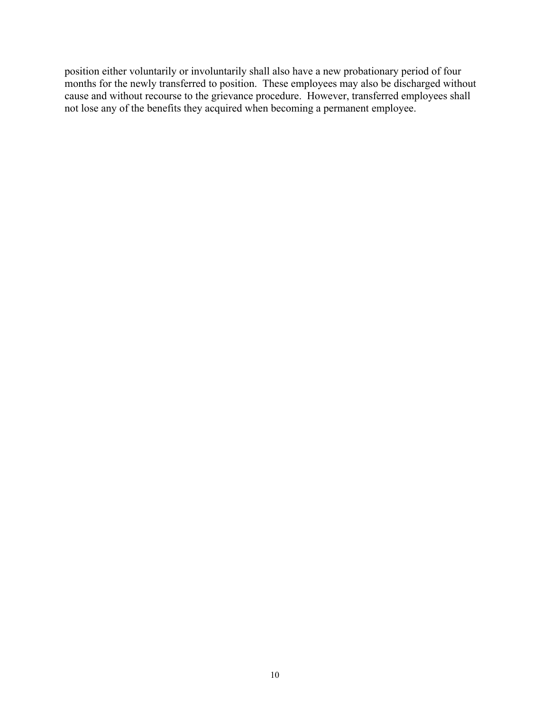position either voluntarily or involuntarily shall also have a new probationary period of four months for the newly transferred to position. These employees may also be discharged without cause and without recourse to the grievance procedure. However, transferred employees shall not lose any of the benefits they acquired when becoming a permanent employee.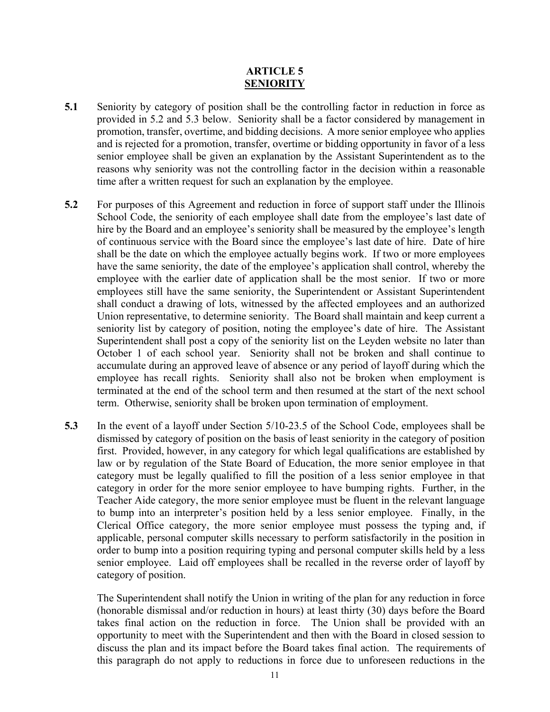#### **ARTICLE 5 SENIORITY**

- **5.1** Seniority by category of position shall be the controlling factor in reduction in force as provided in 5.2 and 5.3 below. Seniority shall be a factor considered by management in promotion, transfer, overtime, and bidding decisions. A more senior employee who applies and is rejected for a promotion, transfer, overtime or bidding opportunity in favor of a less senior employee shall be given an explanation by the Assistant Superintendent as to the reasons why seniority was not the controlling factor in the decision within a reasonable time after a written request for such an explanation by the employee.
- **5.2** For purposes of this Agreement and reduction in force of support staff under the Illinois School Code, the seniority of each employee shall date from the employee's last date of hire by the Board and an employee's seniority shall be measured by the employee's length of continuous service with the Board since the employee's last date of hire. Date of hire shall be the date on which the employee actually begins work. If two or more employees have the same seniority, the date of the employee's application shall control, whereby the employee with the earlier date of application shall be the most senior. If two or more employees still have the same seniority, the Superintendent or Assistant Superintendent shall conduct a drawing of lots, witnessed by the affected employees and an authorized Union representative, to determine seniority. The Board shall maintain and keep current a seniority list by category of position, noting the employee's date of hire. The Assistant Superintendent shall post a copy of the seniority list on the Leyden website no later than October 1 of each school year. Seniority shall not be broken and shall continue to accumulate during an approved leave of absence or any period of layoff during which the employee has recall rights. Seniority shall also not be broken when employment is terminated at the end of the school term and then resumed at the start of the next school term. Otherwise, seniority shall be broken upon termination of employment.
- **5.3** In the event of a layoff under Section 5/10-23.5 of the School Code, employees shall be dismissed by category of position on the basis of least seniority in the category of position first. Provided, however, in any category for which legal qualifications are established by law or by regulation of the State Board of Education, the more senior employee in that category must be legally qualified to fill the position of a less senior employee in that category in order for the more senior employee to have bumping rights. Further, in the Teacher Aide category, the more senior employee must be fluent in the relevant language to bump into an interpreter's position held by a less senior employee. Finally, in the Clerical Office category, the more senior employee must possess the typing and, if applicable, personal computer skills necessary to perform satisfactorily in the position in order to bump into a position requiring typing and personal computer skills held by a less senior employee. Laid off employees shall be recalled in the reverse order of layoff by category of position.

The Superintendent shall notify the Union in writing of the plan for any reduction in force (honorable dismissal and/or reduction in hours) at least thirty (30) days before the Board takes final action on the reduction in force. The Union shall be provided with an opportunity to meet with the Superintendent and then with the Board in closed session to discuss the plan and its impact before the Board takes final action. The requirements of this paragraph do not apply to reductions in force due to unforeseen reductions in the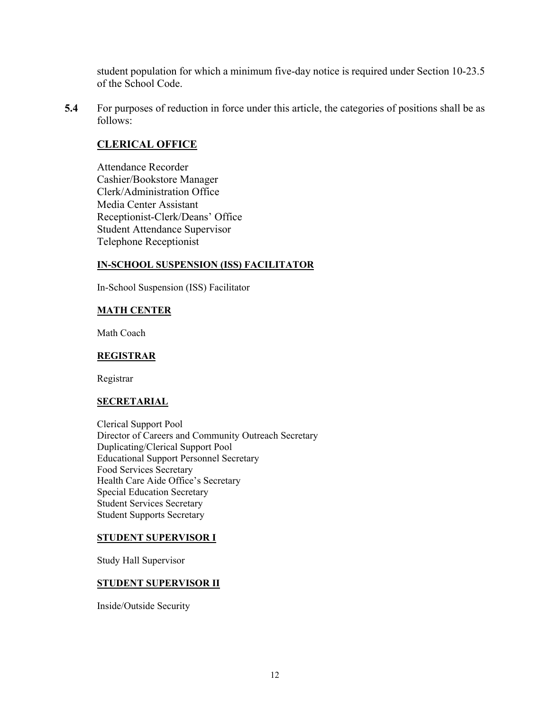student population for which a minimum five-day notice is required under Section 10-23.5 of the School Code.

**5.4** For purposes of reduction in force under this article, the categories of positions shall be as follows:

#### **CLERICAL OFFICE**

Attendance Recorder Cashier/Bookstore Manager Clerk/Administration Office Media Center Assistant Receptionist-Clerk/Deans' Office Student Attendance Supervisor Telephone Receptionist

#### **IN-SCHOOL SUSPENSION (ISS) FACILITATOR**

In-School Suspension (ISS) Facilitator

#### **MATH CENTER**

Math Coach

#### **REGISTRAR**

Registrar

#### **SECRETARIAL**

Clerical Support Pool Director of Careers and Community Outreach Secretary Duplicating/Clerical Support Pool Educational Support Personnel Secretary Food Services Secretary Health Care Aide Office's Secretary Special Education Secretary Student Services Secretary Student Supports Secretary

#### **STUDENT SUPERVISOR I**

Study Hall Supervisor

#### **STUDENT SUPERVISOR II**

Inside/Outside Security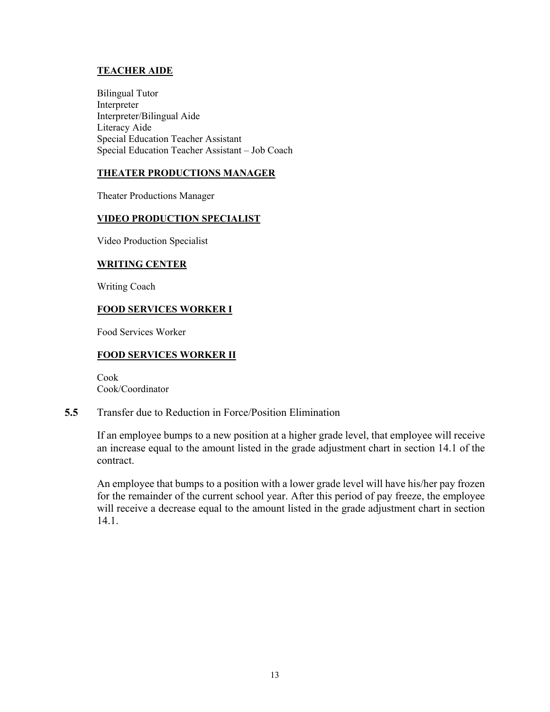#### **TEACHER AIDE**

Bilingual Tutor Interpreter Interpreter/Bilingual Aide Literacy Aide Special Education Teacher Assistant Special Education Teacher Assistant – Job Coach

#### **THEATER PRODUCTIONS MANAGER**

Theater Productions Manager

#### **VIDEO PRODUCTION SPECIALIST**

Video Production Specialist

#### **WRITING CENTER**

Writing Coach

#### **FOOD SERVICES WORKER I**

Food Services Worker

#### **FOOD SERVICES WORKER II**

Cook Cook/Coordinator

#### **5.5** Transfer due to Reduction in Force/Position Elimination

If an employee bumps to a new position at a higher grade level, that employee will receive an increase equal to the amount listed in the grade adjustment chart in section 14.1 of the contract.

An employee that bumps to a position with a lower grade level will have his/her pay frozen for the remainder of the current school year. After this period of pay freeze, the employee will receive a decrease equal to the amount listed in the grade adjustment chart in section 14.1.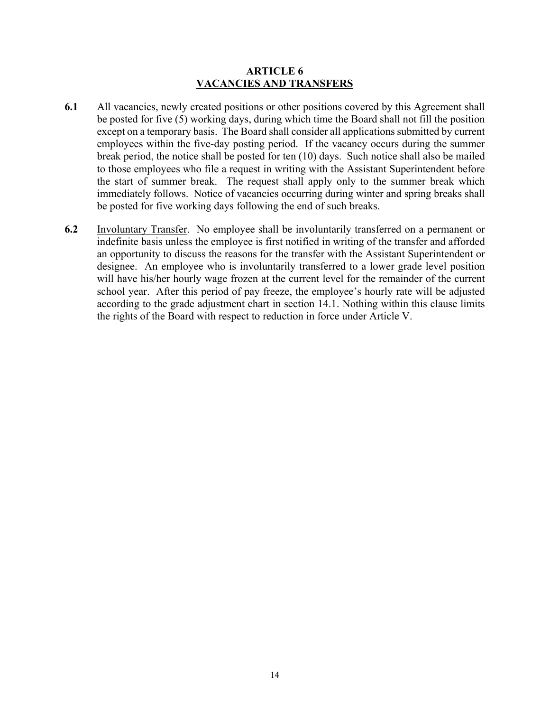#### **ARTICLE 6 VACANCIES AND TRANSFERS**

- **6.1** All vacancies, newly created positions or other positions covered by this Agreement shall be posted for five (5) working days, during which time the Board shall not fill the position except on a temporary basis. The Board shall consider all applications submitted by current employees within the five-day posting period. If the vacancy occurs during the summer break period, the notice shall be posted for ten (10) days. Such notice shall also be mailed to those employees who file a request in writing with the Assistant Superintendent before the start of summer break. The request shall apply only to the summer break which immediately follows. Notice of vacancies occurring during winter and spring breaks shall be posted for five working days following the end of such breaks.
- **6.2** Involuntary Transfer. No employee shall be involuntarily transferred on a permanent or indefinite basis unless the employee is first notified in writing of the transfer and afforded an opportunity to discuss the reasons for the transfer with the Assistant Superintendent or designee. An employee who is involuntarily transferred to a lower grade level position will have his/her hourly wage frozen at the current level for the remainder of the current school year. After this period of pay freeze, the employee's hourly rate will be adjusted according to the grade adjustment chart in section 14.1. Nothing within this clause limits the rights of the Board with respect to reduction in force under Article V.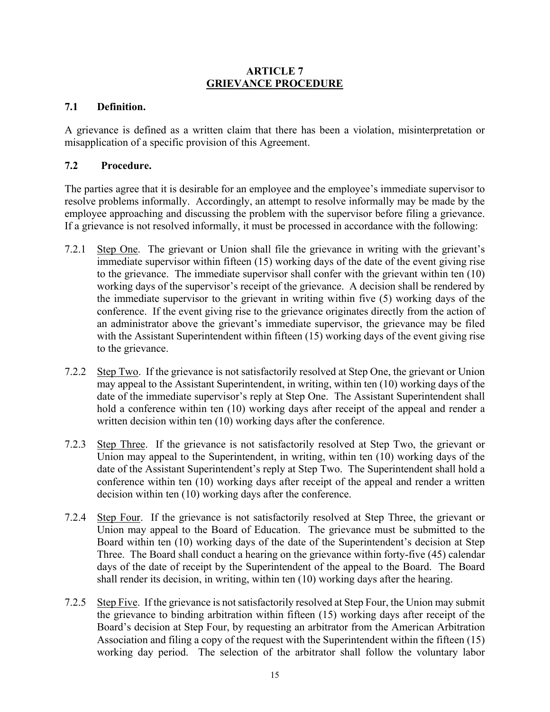#### **ARTICLE 7 GRIEVANCE PROCEDURE**

# **7.1 Definition.**

A grievance is defined as a written claim that there has been a violation, misinterpretation or misapplication of a specific provision of this Agreement.

# **7.2 Procedure.**

The parties agree that it is desirable for an employee and the employee's immediate supervisor to resolve problems informally. Accordingly, an attempt to resolve informally may be made by the employee approaching and discussing the problem with the supervisor before filing a grievance. If a grievance is not resolved informally, it must be processed in accordance with the following:

- 7.2.1 Step One. The grievant or Union shall file the grievance in writing with the grievant's immediate supervisor within fifteen (15) working days of the date of the event giving rise to the grievance. The immediate supervisor shall confer with the grievant within ten (10) working days of the supervisor's receipt of the grievance. A decision shall be rendered by the immediate supervisor to the grievant in writing within five (5) working days of the conference. If the event giving rise to the grievance originates directly from the action of an administrator above the grievant's immediate supervisor, the grievance may be filed with the Assistant Superintendent within fifteen (15) working days of the event giving rise to the grievance.
- 7.2.2 Step Two. If the grievance is not satisfactorily resolved at Step One, the grievant or Union may appeal to the Assistant Superintendent, in writing, within ten (10) working days of the date of the immediate supervisor's reply at Step One. The Assistant Superintendent shall hold a conference within ten (10) working days after receipt of the appeal and render a written decision within ten (10) working days after the conference.
- 7.2.3 Step Three. If the grievance is not satisfactorily resolved at Step Two, the grievant or Union may appeal to the Superintendent, in writing, within ten (10) working days of the date of the Assistant Superintendent's reply at Step Two. The Superintendent shall hold a conference within ten (10) working days after receipt of the appeal and render a written decision within ten (10) working days after the conference.
- 7.2.4 Step Four. If the grievance is not satisfactorily resolved at Step Three, the grievant or Union may appeal to the Board of Education. The grievance must be submitted to the Board within ten (10) working days of the date of the Superintendent's decision at Step Three. The Board shall conduct a hearing on the grievance within forty-five (45) calendar days of the date of receipt by the Superintendent of the appeal to the Board. The Board shall render its decision, in writing, within ten (10) working days after the hearing.
- 7.2.5 Step Five. If the grievance is not satisfactorily resolved at Step Four, the Union may submit the grievance to binding arbitration within fifteen (15) working days after receipt of the Board's decision at Step Four, by requesting an arbitrator from the American Arbitration Association and filing a copy of the request with the Superintendent within the fifteen (15) working day period. The selection of the arbitrator shall follow the voluntary labor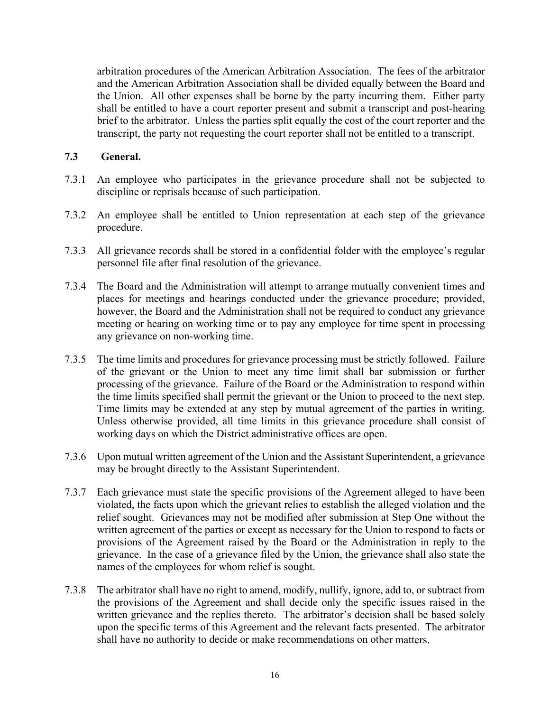arbitration procedures of the American Arbitration Association. The fees of the arbitrator and the American Arbitration Association shall be divided equally between the Board and the Union. All other expenses shall be borne by the party incurring them. Either party shall be entitled to have a court reporter present and submit a transcript and post-hearing brief to the arbitrator. Unless the parties split equally the cost of the court reporter and the transcript, the party not requesting the court reporter shall not be entitled to a transcript.

#### **7.3 General.**

- 7.3.1 An employee who participates in the grievance procedure shall not be subjected to discipline or reprisals because of such participation.
- 7.3.2 An employee shall be entitled to Union representation at each step of the grievance procedure.
- 7.3.3 All grievance records shall be stored in a confidential folder with the employee's regular personnel file after final resolution of the grievance.
- 7.3.4 The Board and the Administration will attempt to arrange mutually convenient times and places for meetings and hearings conducted under the grievance procedure; provided, however, the Board and the Administration shall not be required to conduct any grievance meeting or hearing on working time or to pay any employee for time spent in processing any grievance on non-working time.
- 7.3.5 The time limits and procedures for grievance processing must be strictly followed. Failure of the grievant or the Union to meet any time limit shall bar submission or further processing of the grievance. Failure of the Board or the Administration to respond within the time limits specified shall permit the grievant or the Union to proceed to the next step. Time limits may be extended at any step by mutual agreement of the parties in writing. Unless otherwise provided, all time limits in this grievance procedure shall consist of working days on which the District administrative offices are open.
- 7.3.6 Upon mutual written agreement of the Union and the Assistant Superintendent, a grievance may be brought directly to the Assistant Superintendent.
- 7.3.7 Each grievance must state the specific provisions of the Agreement alleged to have been violated, the facts upon which the grievant relies to establish the alleged violation and the relief sought. Grievances may not be modified after submission at Step One without the written agreement of the parties or except as necessary for the Union to respond to facts or provisions of the Agreement raised by the Board or the Administration in reply to the grievance. In the case of a grievance filed by the Union, the grievance shall also state the names of the employees for whom relief is sought.
- 7.3.8 The arbitrator shall have no right to amend, modify, nullify, ignore, add to, or subtract from the provisions of the Agreement and shall decide only the specific issues raised in the written grievance and the replies thereto. The arbitrator's decision shall be based solely upon the specific terms of this Agreement and the relevant facts presented. The arbitrator shall have no authority to decide or make recommendations on other matters.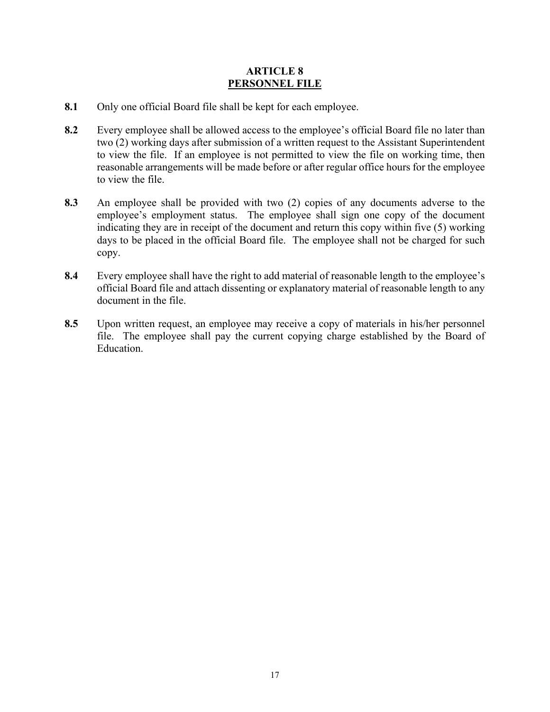#### **ARTICLE 8 PERSONNEL FILE**

- **8.1** Only one official Board file shall be kept for each employee.
- **8.2** Every employee shall be allowed access to the employee's official Board file no later than two (2) working days after submission of a written request to the Assistant Superintendent to view the file. If an employee is not permitted to view the file on working time, then reasonable arrangements will be made before or after regular office hours for the employee to view the file.
- **8.3** An employee shall be provided with two (2) copies of any documents adverse to the employee's employment status. The employee shall sign one copy of the document indicating they are in receipt of the document and return this copy within five (5) working days to be placed in the official Board file. The employee shall not be charged for such copy.
- **8.4** Every employee shall have the right to add material of reasonable length to the employee's official Board file and attach dissenting or explanatory material of reasonable length to any document in the file.
- **8.5** Upon written request, an employee may receive a copy of materials in his/her personnel file. The employee shall pay the current copying charge established by the Board of Education.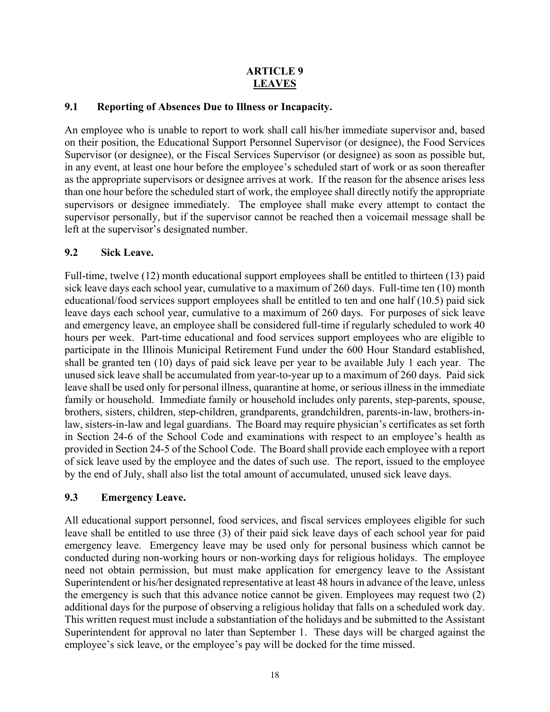# **ARTICLE 9 LEAVES**

# **9.1 Reporting of Absences Due to Illness or Incapacity.**

An employee who is unable to report to work shall call his/her immediate supervisor and, based on their position, the Educational Support Personnel Supervisor (or designee), the Food Services Supervisor (or designee), or the Fiscal Services Supervisor (or designee) as soon as possible but, in any event, at least one hour before the employee's scheduled start of work or as soon thereafter as the appropriate supervisors or designee arrives at work. If the reason for the absence arises less than one hour before the scheduled start of work, the employee shall directly notify the appropriate supervisors or designee immediately. The employee shall make every attempt to contact the supervisor personally, but if the supervisor cannot be reached then a voicemail message shall be left at the supervisor's designated number.

# **9.2 Sick Leave.**

Full-time, twelve (12) month educational support employees shall be entitled to thirteen (13) paid sick leave days each school year, cumulative to a maximum of 260 days. Full-time ten (10) month educational/food services support employees shall be entitled to ten and one half (10.5) paid sick leave days each school year, cumulative to a maximum of 260 days. For purposes of sick leave and emergency leave, an employee shall be considered full-time if regularly scheduled to work 40 hours per week. Part-time educational and food services support employees who are eligible to participate in the Illinois Municipal Retirement Fund under the 600 Hour Standard established, shall be granted ten (10) days of paid sick leave per year to be available July 1 each year. The unused sick leave shall be accumulated from year-to-year up to a maximum of 260 days. Paid sick leave shall be used only for personal illness, quarantine at home, or serious illness in the immediate family or household. Immediate family or household includes only parents, step-parents, spouse, brothers, sisters, children, step-children, grandparents, grandchildren, parents-in-law, brothers-inlaw, sisters-in-law and legal guardians. The Board may require physician's certificates as set forth in Section 24-6 of the School Code and examinations with respect to an employee's health as provided in Section 24-5 of the School Code. The Board shall provide each employee with a report of sick leave used by the employee and the dates of such use. The report, issued to the employee by the end of July, shall also list the total amount of accumulated, unused sick leave days.

# **9.3 Emergency Leave.**

All educational support personnel, food services, and fiscal services employees eligible for such leave shall be entitled to use three (3) of their paid sick leave days of each school year for paid emergency leave. Emergency leave may be used only for personal business which cannot be conducted during non-working hours or non-working days for religious holidays. The employee need not obtain permission, but must make application for emergency leave to the Assistant Superintendent or his/her designated representative at least 48 hours in advance of the leave, unless the emergency is such that this advance notice cannot be given. Employees may request two (2) additional days for the purpose of observing a religious holiday that falls on a scheduled work day. This written request must include a substantiation of the holidays and be submitted to the Assistant Superintendent for approval no later than September 1. These days will be charged against the employee's sick leave, or the employee's pay will be docked for the time missed.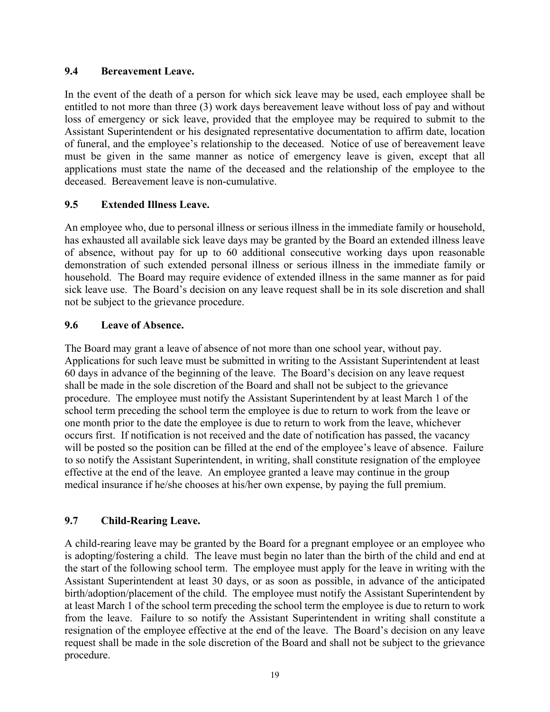#### **9.4 Bereavement Leave.**

In the event of the death of a person for which sick leave may be used, each employee shall be entitled to not more than three (3) work days bereavement leave without loss of pay and without loss of emergency or sick leave, provided that the employee may be required to submit to the Assistant Superintendent or his designated representative documentation to affirm date, location of funeral, and the employee's relationship to the deceased. Notice of use of bereavement leave must be given in the same manner as notice of emergency leave is given, except that all applications must state the name of the deceased and the relationship of the employee to the deceased. Bereavement leave is non-cumulative.

# **9.5 Extended Illness Leave.**

An employee who, due to personal illness or serious illness in the immediate family or household, has exhausted all available sick leave days may be granted by the Board an extended illness leave of absence, without pay for up to 60 additional consecutive working days upon reasonable demonstration of such extended personal illness or serious illness in the immediate family or household. The Board may require evidence of extended illness in the same manner as for paid sick leave use. The Board's decision on any leave request shall be in its sole discretion and shall not be subject to the grievance procedure.

# **9.6 Leave of Absence.**

The Board may grant a leave of absence of not more than one school year, without pay. Applications for such leave must be submitted in writing to the Assistant Superintendent at least 60 days in advance of the beginning of the leave. The Board's decision on any leave request shall be made in the sole discretion of the Board and shall not be subject to the grievance procedure. The employee must notify the Assistant Superintendent by at least March 1 of the school term preceding the school term the employee is due to return to work from the leave or one month prior to the date the employee is due to return to work from the leave, whichever occurs first. If notification is not received and the date of notification has passed, the vacancy will be posted so the position can be filled at the end of the employee's leave of absence. Failure to so notify the Assistant Superintendent, in writing, shall constitute resignation of the employee effective at the end of the leave. An employee granted a leave may continue in the group medical insurance if he/she chooses at his/her own expense, by paying the full premium.

# **9.7 Child-Rearing Leave.**

A child-rearing leave may be granted by the Board for a pregnant employee or an employee who is adopting/fostering a child. The leave must begin no later than the birth of the child and end at the start of the following school term. The employee must apply for the leave in writing with the Assistant Superintendent at least 30 days, or as soon as possible, in advance of the anticipated birth/adoption/placement of the child. The employee must notify the Assistant Superintendent by at least March 1 of the school term preceding the school term the employee is due to return to work from the leave. Failure to so notify the Assistant Superintendent in writing shall constitute a resignation of the employee effective at the end of the leave. The Board's decision on any leave request shall be made in the sole discretion of the Board and shall not be subject to the grievance procedure.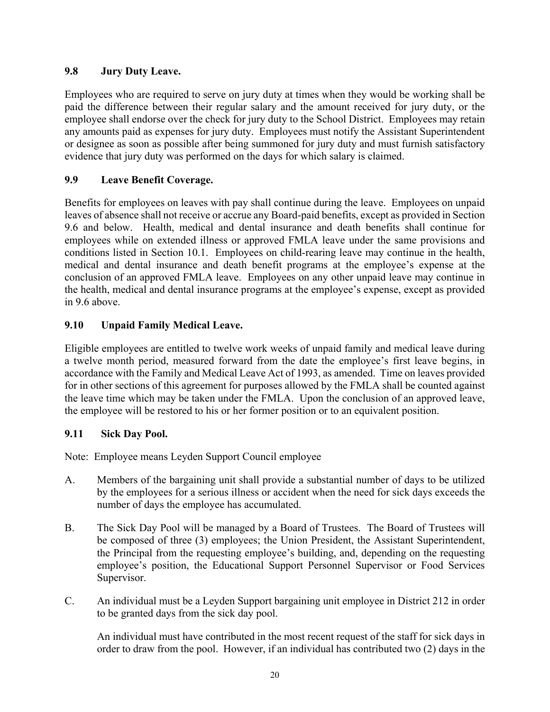# **9.8 Jury Duty Leave.**

Employees who are required to serve on jury duty at times when they would be working shall be paid the difference between their regular salary and the amount received for jury duty, or the employee shall endorse over the check for jury duty to the School District. Employees may retain any amounts paid as expenses for jury duty. Employees must notify the Assistant Superintendent or designee as soon as possible after being summoned for jury duty and must furnish satisfactory evidence that jury duty was performed on the days for which salary is claimed.

# **9.9 Leave Benefit Coverage.**

Benefits for employees on leaves with pay shall continue during the leave. Employees on unpaid leaves of absence shall not receive or accrue any Board-paid benefits, except as provided in Section 9.6 and below. Health, medical and dental insurance and death benefits shall continue for employees while on extended illness or approved FMLA leave under the same provisions and conditions listed in Section 10.1. Employees on child-rearing leave may continue in the health, medical and dental insurance and death benefit programs at the employee's expense at the conclusion of an approved FMLA leave. Employees on any other unpaid leave may continue in the health, medical and dental insurance programs at the employee's expense, except as provided in 9.6 above.

# **9.10 Unpaid Family Medical Leave.**

Eligible employees are entitled to twelve work weeks of unpaid family and medical leave during a twelve month period, measured forward from the date the employee's first leave begins, in accordance with the Family and Medical Leave Act of 1993, as amended. Time on leaves provided for in other sections of this agreement for purposes allowed by the FMLA shall be counted against the leave time which may be taken under the FMLA. Upon the conclusion of an approved leave, the employee will be restored to his or her former position or to an equivalent position.

# **9.11 Sick Day Pool.**

Note: Employee means Leyden Support Council employee

- A. Members of the bargaining unit shall provide a substantial number of days to be utilized by the employees for a serious illness or accident when the need for sick days exceeds the number of days the employee has accumulated.
- B. The Sick Day Pool will be managed by a Board of Trustees. The Board of Trustees will be composed of three (3) employees; the Union President, the Assistant Superintendent, the Principal from the requesting employee's building, and, depending on the requesting employee's position, the Educational Support Personnel Supervisor or Food Services Supervisor.
- C. An individual must be a Leyden Support bargaining unit employee in District 212 in order to be granted days from the sick day pool.

An individual must have contributed in the most recent request of the staff for sick days in order to draw from the pool. However, if an individual has contributed two (2) days in the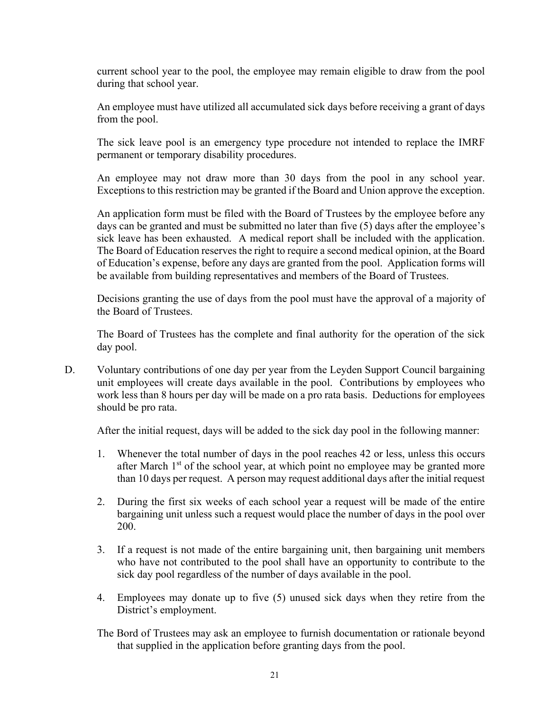current school year to the pool, the employee may remain eligible to draw from the pool during that school year.

An employee must have utilized all accumulated sick days before receiving a grant of days from the pool.

The sick leave pool is an emergency type procedure not intended to replace the IMRF permanent or temporary disability procedures.

An employee may not draw more than 30 days from the pool in any school year. Exceptions to this restriction may be granted if the Board and Union approve the exception.

An application form must be filed with the Board of Trustees by the employee before any days can be granted and must be submitted no later than five (5) days after the employee's sick leave has been exhausted. A medical report shall be included with the application. The Board of Education reserves the right to require a second medical opinion, at the Board of Education's expense, before any days are granted from the pool. Application forms will be available from building representatives and members of the Board of Trustees.

Decisions granting the use of days from the pool must have the approval of a majority of the Board of Trustees.

The Board of Trustees has the complete and final authority for the operation of the sick day pool.

D. Voluntary contributions of one day per year from the Leyden Support Council bargaining unit employees will create days available in the pool. Contributions by employees who work less than 8 hours per day will be made on a pro rata basis. Deductions for employees should be pro rata.

After the initial request, days will be added to the sick day pool in the following manner:

- 1. Whenever the total number of days in the pool reaches 42 or less, unless this occurs after March  $1<sup>st</sup>$  of the school year, at which point no employee may be granted more than 10 days per request. A person may request additional days after the initial request
- 2. During the first six weeks of each school year a request will be made of the entire bargaining unit unless such a request would place the number of days in the pool over 200.
- 3. If a request is not made of the entire bargaining unit, then bargaining unit members who have not contributed to the pool shall have an opportunity to contribute to the sick day pool regardless of the number of days available in the pool.
- 4. Employees may donate up to five (5) unused sick days when they retire from the District's employment.
- The Bord of Trustees may ask an employee to furnish documentation or rationale beyond that supplied in the application before granting days from the pool.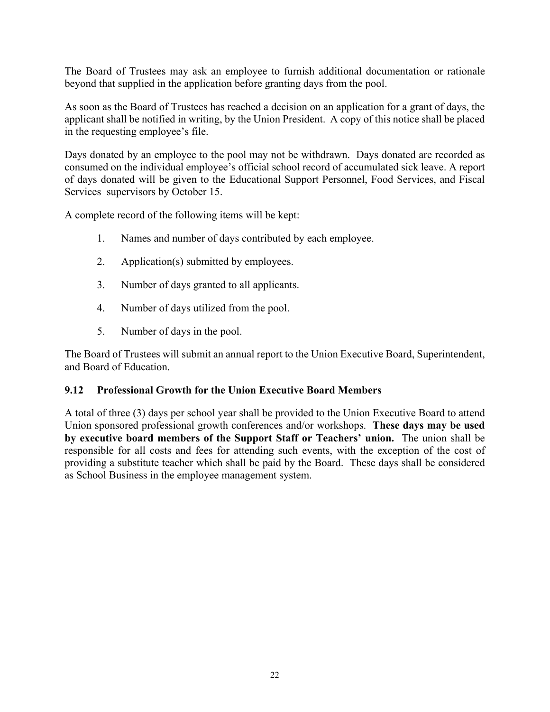The Board of Trustees may ask an employee to furnish additional documentation or rationale beyond that supplied in the application before granting days from the pool.

As soon as the Board of Trustees has reached a decision on an application for a grant of days, the applicant shall be notified in writing, by the Union President. A copy of this notice shall be placed in the requesting employee's file.

Days donated by an employee to the pool may not be withdrawn. Days donated are recorded as consumed on the individual employee's official school record of accumulated sick leave. A report of days donated will be given to the Educational Support Personnel, Food Services, and Fiscal Services supervisors by October 15.

A complete record of the following items will be kept:

- 1. Names and number of days contributed by each employee.
- 2. Application(s) submitted by employees.
- 3. Number of days granted to all applicants.
- 4. Number of days utilized from the pool.
- 5. Number of days in the pool.

The Board of Trustees will submit an annual report to the Union Executive Board, Superintendent, and Board of Education.

#### **9.12 Professional Growth for the Union Executive Board Members**

A total of three (3) days per school year shall be provided to the Union Executive Board to attend Union sponsored professional growth conferences and/or workshops. **These days may be used by executive board members of the Support Staff or Teachers' union.** The union shall be responsible for all costs and fees for attending such events, with the exception of the cost of providing a substitute teacher which shall be paid by the Board. These days shall be considered as School Business in the employee management system.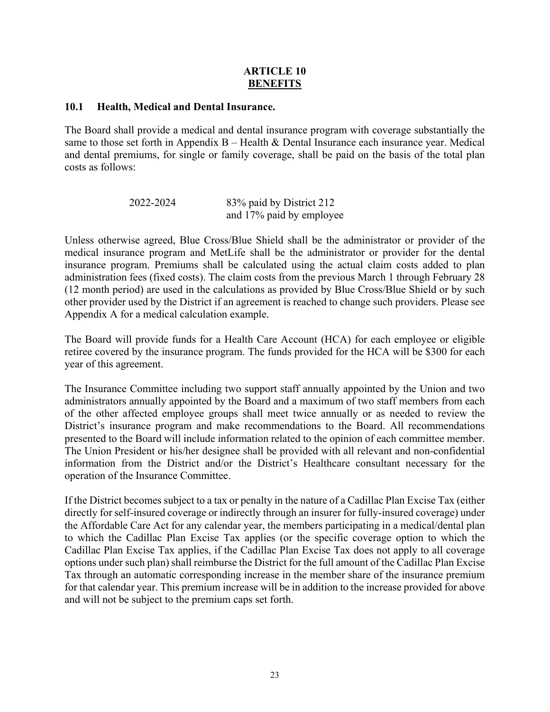#### **ARTICLE 10 BENEFITS**

#### **10.1 Health, Medical and Dental Insurance.**

The Board shall provide a medical and dental insurance program with coverage substantially the same to those set forth in Appendix  $B -$  Health & Dental Insurance each insurance year. Medical and dental premiums, for single or family coverage, shall be paid on the basis of the total plan costs as follows:

| 2022-2024 | 83% paid by District 212 |
|-----------|--------------------------|
|           | and 17% paid by employee |

Unless otherwise agreed, Blue Cross/Blue Shield shall be the administrator or provider of the medical insurance program and MetLife shall be the administrator or provider for the dental insurance program. Premiums shall be calculated using the actual claim costs added to plan administration fees (fixed costs). The claim costs from the previous March 1 through February 28 (12 month period) are used in the calculations as provided by Blue Cross/Blue Shield or by such other provider used by the District if an agreement is reached to change such providers. Please see Appendix A for a medical calculation example.

The Board will provide funds for a Health Care Account (HCA) for each employee or eligible retiree covered by the insurance program. The funds provided for the HCA will be \$300 for each year of this agreement.

The Insurance Committee including two support staff annually appointed by the Union and two administrators annually appointed by the Board and a maximum of two staff members from each of the other affected employee groups shall meet twice annually or as needed to review the District's insurance program and make recommendations to the Board. All recommendations presented to the Board will include information related to the opinion of each committee member. The Union President or his/her designee shall be provided with all relevant and non-confidential information from the District and/or the District's Healthcare consultant necessary for the operation of the Insurance Committee.

If the District becomes subject to a tax or penalty in the nature of a Cadillac Plan Excise Tax (either directly for self-insured coverage or indirectly through an insurer for fully-insured coverage) under the Affordable Care Act for any calendar year, the members participating in a medical/dental plan to which the Cadillac Plan Excise Tax applies (or the specific coverage option to which the Cadillac Plan Excise Tax applies, if the Cadillac Plan Excise Tax does not apply to all coverage options under such plan) shall reimburse the District for the full amount of the Cadillac Plan Excise Tax through an automatic corresponding increase in the member share of the insurance premium for that calendar year. This premium increase will be in addition to the increase provided for above and will not be subject to the premium caps set forth.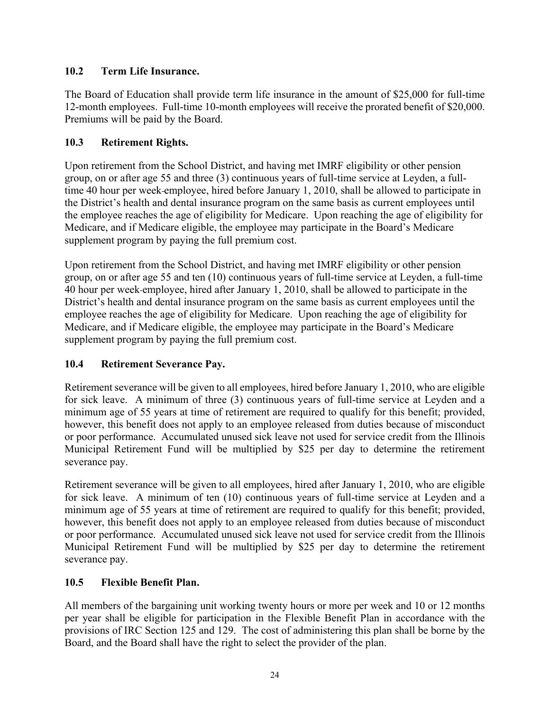# **10.2 Term Life Insurance.**

The Board of Education shall provide term life insurance in the amount of \$25,000 for full-time 12-month employees. Full-time 10-month employees will receive the prorated benefit of \$20,000. Premiums will be paid by the Board.

# **10.3 Retirement Rights.**

Upon retirement from the School District, and having met IMRF eligibility or other pension group, on or after age 55 and three (3) continuous years of full-time service at Leyden, a fulltime 40 hour per week employee, hired before January 1, 2010, shall be allowed to participate in the District's health and dental insurance program on the same basis as current employees until the employee reaches the age of eligibility for Medicare. Upon reaching the age of eligibility for Medicare, and if Medicare eligible, the employee may participate in the Board's Medicare supplement program by paying the full premium cost.

Upon retirement from the School District, and having met IMRF eligibility or other pension group, on or after age 55 and ten (10) continuous years of full-time service at Leyden, a full-time 40 hour per week employee, hired after January 1, 2010, shall be allowed to participate in the District's health and dental insurance program on the same basis as current employees until the employee reaches the age of eligibility for Medicare. Upon reaching the age of eligibility for Medicare, and if Medicare eligible, the employee may participate in the Board's Medicare supplement program by paying the full premium cost.

# **10.4 Retirement Severance Pay.**

Retirement severance will be given to all employees, hired before January 1, 2010, who are eligible for sick leave. A minimum of three (3) continuous years of full-time service at Leyden and a minimum age of 55 years at time of retirement are required to qualify for this benefit; provided, however, this benefit does not apply to an employee released from duties because of misconduct or poor performance. Accumulated unused sick leave not used for service credit from the Illinois Municipal Retirement Fund will be multiplied by \$25 per day to determine the retirement severance pay.

Retirement severance will be given to all employees, hired after January 1, 2010, who are eligible for sick leave. A minimum of ten (10) continuous years of full-time service at Leyden and a minimum age of 55 years at time of retirement are required to qualify for this benefit; provided, however, this benefit does not apply to an employee released from duties because of misconduct or poor performance. Accumulated unused sick leave not used for service credit from the Illinois Municipal Retirement Fund will be multiplied by \$25 per day to determine the retirement severance pay.

# **10.5 Flexible Benefit Plan.**

All members of the bargaining unit working twenty hours or more per week and 10 or 12 months per year shall be eligible for participation in the Flexible Benefit Plan in accordance with the provisions of IRC Section 125 and 129. The cost of administering this plan shall be borne by the Board, and the Board shall have the right to select the provider of the plan.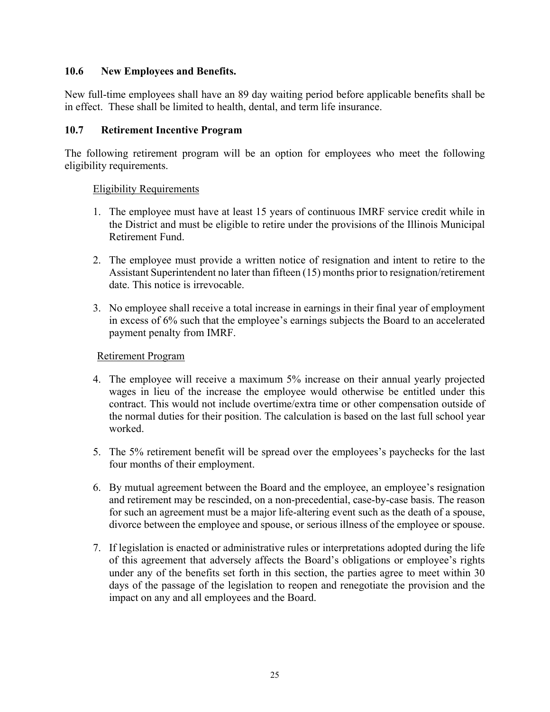#### **10.6 New Employees and Benefits.**

New full-time employees shall have an 89 day waiting period before applicable benefits shall be in effect. These shall be limited to health, dental, and term life insurance.

#### **10.7 Retirement Incentive Program**

The following retirement program will be an option for employees who meet the following eligibility requirements.

#### Eligibility Requirements

- 1. The employee must have at least 15 years of continuous IMRF service credit while in the District and must be eligible to retire under the provisions of the Illinois Municipal Retirement Fund.
- 2. The employee must provide a written notice of resignation and intent to retire to the Assistant Superintendent no later than fifteen (15) months prior to resignation/retirement date. This notice is irrevocable.
- 3. No employee shall receive a total increase in earnings in their final year of employment in excess of 6% such that the employee's earnings subjects the Board to an accelerated payment penalty from IMRF.

#### Retirement Program

- 4. The employee will receive a maximum 5% increase on their annual yearly projected wages in lieu of the increase the employee would otherwise be entitled under this contract. This would not include overtime/extra time or other compensation outside of the normal duties for their position. The calculation is based on the last full school year worked.
- 5. The 5% retirement benefit will be spread over the employees's paychecks for the last four months of their employment.
- 6. By mutual agreement between the Board and the employee, an employee's resignation and retirement may be rescinded, on a non-precedential, case-by-case basis. The reason for such an agreement must be a major life-altering event such as the death of a spouse, divorce between the employee and spouse, or serious illness of the employee or spouse.
- 7. If legislation is enacted or administrative rules or interpretations adopted during the life of this agreement that adversely affects the Board's obligations or employee's rights under any of the benefits set forth in this section, the parties agree to meet within 30 days of the passage of the legislation to reopen and renegotiate the provision and the impact on any and all employees and the Board.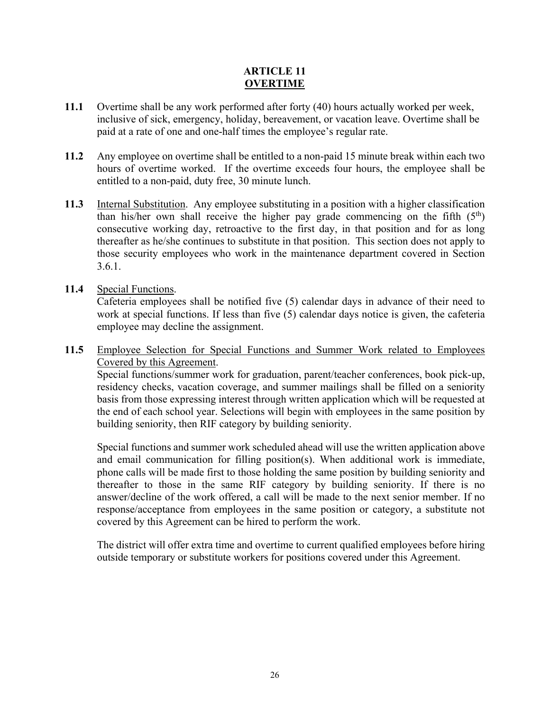# **ARTICLE 11 OVERTIME**

- **11.1** Overtime shall be any work performed after forty (40) hours actually worked per week, inclusive of sick, emergency, holiday, bereavement, or vacation leave. Overtime shall be paid at a rate of one and one-half times the employee's regular rate.
- **11.2** Any employee on overtime shall be entitled to a non-paid 15 minute break within each two hours of overtime worked. If the overtime exceeds four hours, the employee shall be entitled to a non-paid, duty free, 30 minute lunch.
- **11.3** Internal Substitution. Any employee substituting in a position with a higher classification than his/her own shall receive the higher pay grade commencing on the fifth  $(5<sup>th</sup>)$ consecutive working day, retroactive to the first day, in that position and for as long thereafter as he/she continues to substitute in that position. This section does not apply to those security employees who work in the maintenance department covered in Section 3.6.1.
- **11.4** Special Functions.

Cafeteria employees shall be notified five (5) calendar days in advance of their need to work at special functions. If less than five (5) calendar days notice is given, the cafeteria employee may decline the assignment.

**11.5** Employee Selection for Special Functions and Summer Work related to Employees Covered by this Agreement.

Special functions/summer work for graduation, parent/teacher conferences, book pick-up, residency checks, vacation coverage, and summer mailings shall be filled on a seniority basis from those expressing interest through written application which will be requested at the end of each school year. Selections will begin with employees in the same position by building seniority, then RIF category by building seniority.

Special functions and summer work scheduled ahead will use the written application above and email communication for filling position(s). When additional work is immediate, phone calls will be made first to those holding the same position by building seniority and thereafter to those in the same RIF category by building seniority. If there is no answer/decline of the work offered, a call will be made to the next senior member. If no response/acceptance from employees in the same position or category, a substitute not covered by this Agreement can be hired to perform the work.

The district will offer extra time and overtime to current qualified employees before hiring outside temporary or substitute workers for positions covered under this Agreement.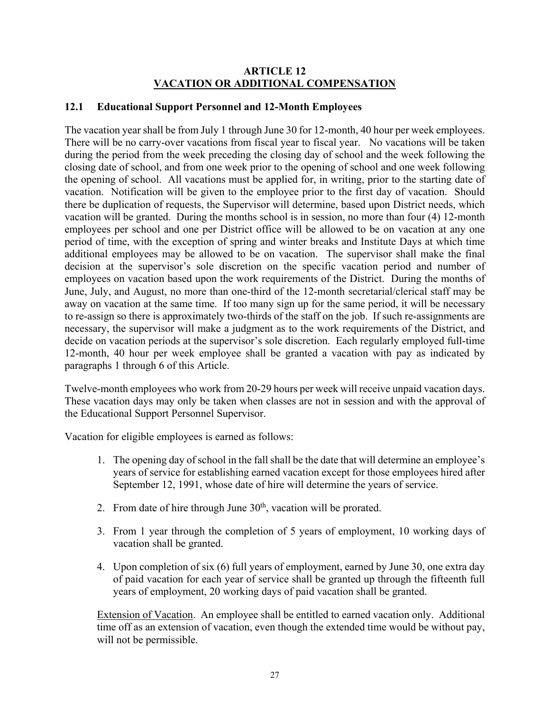#### **ARTICLE 12 VACATION OR ADDITIONAL COMPENSATION**

# **12.1 Educational Support Personnel and 12-Month Employees**

The vacation year shall be from July 1 through June 30 for 12-month, 40 hour per week employees. There will be no carry-over vacations from fiscal year to fiscal year. No vacations will be taken during the period from the week preceding the closing day of school and the week following the closing date of school, and from one week prior to the opening of school and one week following the opening of school. All vacations must be applied for, in writing, prior to the starting date of vacation. Notification will be given to the employee prior to the first day of vacation. Should there be duplication of requests, the Supervisor will determine, based upon District needs, which vacation will be granted. During the months school is in session, no more than four (4) 12-month employees per school and one per District office will be allowed to be on vacation at any one period of time, with the exception of spring and winter breaks and Institute Days at which time additional employees may be allowed to be on vacation. The supervisor shall make the final decision at the supervisor's sole discretion on the specific vacation period and number of employees on vacation based upon the work requirements of the District. During the months of June, July, and August, no more than one-third of the 12-month secretarial/clerical staff may be away on vacation at the same time. If too many sign up for the same period, it will be necessary to re-assign so there is approximately two-thirds of the staff on the job. If such re-assignments are necessary, the supervisor will make a judgment as to the work requirements of the District, and decide on vacation periods at the supervisor's sole discretion. Each regularly employed full-time 12-month, 40 hour per week employee shall be granted a vacation with pay as indicated by paragraphs 1 through 6 of this Article.

Twelve-month employees who work from 20-29 hours per week will receive unpaid vacation days. These vacation days may only be taken when classes are not in session and with the approval of the Educational Support Personnel Supervisor.

Vacation for eligible employees is earned as follows:

- 1. The opening day of school in the fall shall be the date that will determine an employee's years of service for establishing earned vacation except for those employees hired after September 12, 1991, whose date of hire will determine the years of service.
- 2. From date of hire through June  $30<sup>th</sup>$ , vacation will be prorated.
- 3. From 1 year through the completion of 5 years of employment, 10 working days of vacation shall be granted.
- 4. Upon completion of six (6) full years of employment, earned by June 30, one extra day of paid vacation for each year of service shall be granted up through the fifteenth full years of employment, 20 working days of paid vacation shall be granted.

Extension of Vacation. An employee shall be entitled to earned vacation only. Additional time off as an extension of vacation, even though the extended time would be without pay, will not be permissible.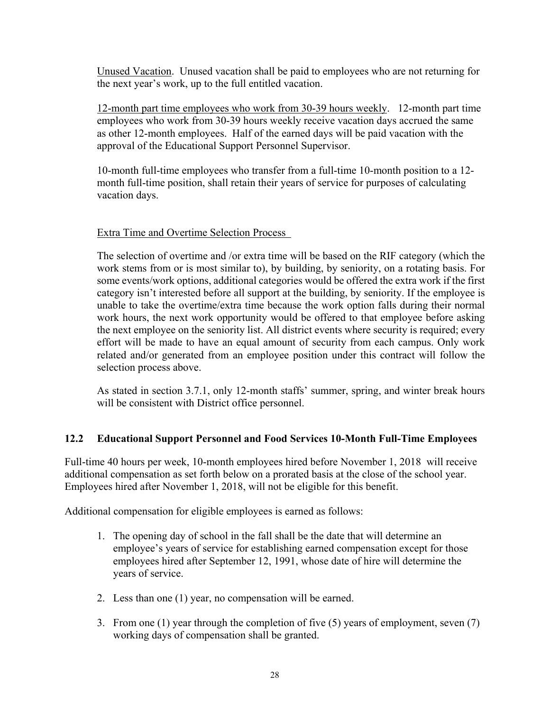Unused Vacation. Unused vacation shall be paid to employees who are not returning for the next year's work, up to the full entitled vacation.

12-month part time employees who work from 30-39 hours weekly. 12-month part time employees who work from 30-39 hours weekly receive vacation days accrued the same as other 12-month employees. Half of the earned days will be paid vacation with the approval of the Educational Support Personnel Supervisor.

10-month full-time employees who transfer from a full-time 10-month position to a 12 month full-time position, shall retain their years of service for purposes of calculating vacation days.

# Extra Time and Overtime Selection Process

The selection of overtime and /or extra time will be based on the RIF category (which the work stems from or is most similar to), by building, by seniority, on a rotating basis. For some events/work options, additional categories would be offered the extra work if the first category isn't interested before all support at the building, by seniority. If the employee is unable to take the overtime/extra time because the work option falls during their normal work hours, the next work opportunity would be offered to that employee before asking the next employee on the seniority list. All district events where security is required; every effort will be made to have an equal amount of security from each campus. Only work related and/or generated from an employee position under this contract will follow the selection process above.

As stated in section 3.7.1, only 12-month staffs' summer, spring, and winter break hours will be consistent with District office personnel.

# **12.2 Educational Support Personnel and Food Services 10-Month Full-Time Employees**

Full-time 40 hours per week, 10-month employees hired before November 1, 2018 will receive additional compensation as set forth below on a prorated basis at the close of the school year. Employees hired after November 1, 2018, will not be eligible for this benefit.

Additional compensation for eligible employees is earned as follows:

- 1. The opening day of school in the fall shall be the date that will determine an employee's years of service for establishing earned compensation except for those employees hired after September 12, 1991, whose date of hire will determine the years of service.
- 2. Less than one (1) year, no compensation will be earned.
- 3. From one (1) year through the completion of five (5) years of employment, seven (7) working days of compensation shall be granted.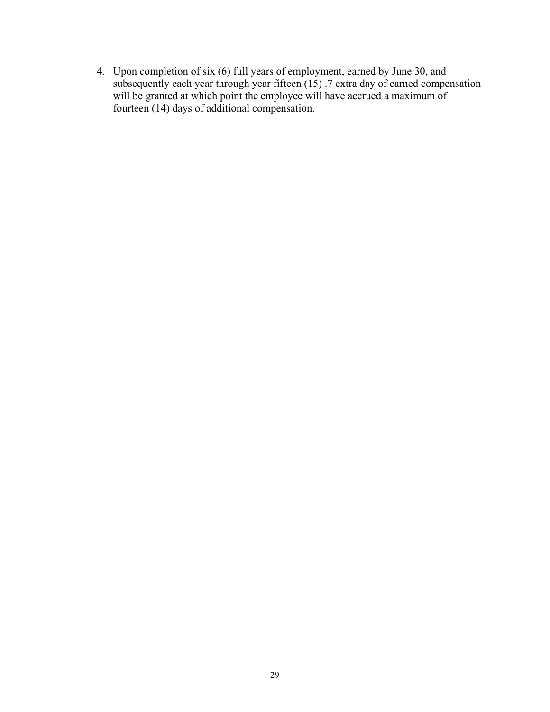4. Upon completion of six (6) full years of employment, earned by June 30, and subsequently each year through year fifteen  $(15)$  .7 extra day of earned compensation will be granted at which point the employee will have accrued a maximum of fourteen (14) days of additional compensation.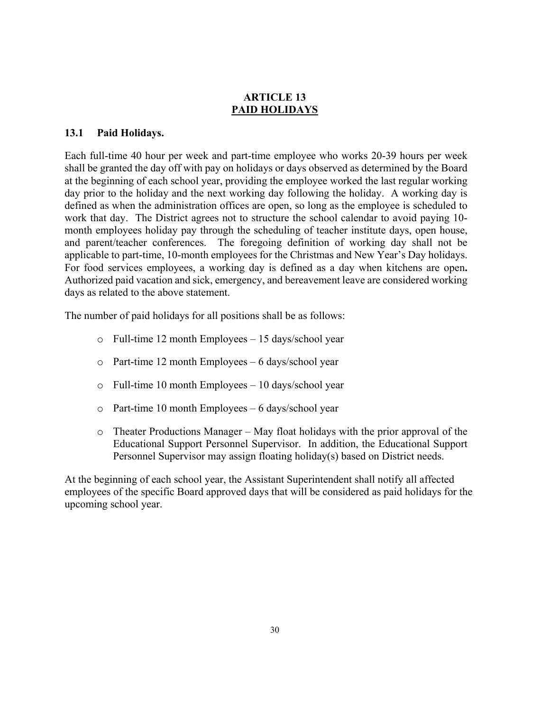# **ARTICLE 13 PAID HOLIDAYS**

#### **13.1 Paid Holidays.**

Each full-time 40 hour per week and part-time employee who works 20-39 hours per week shall be granted the day off with pay on holidays or days observed as determined by the Board at the beginning of each school year, providing the employee worked the last regular working day prior to the holiday and the next working day following the holiday. A working day is defined as when the administration offices are open, so long as the employee is scheduled to work that day. The District agrees not to structure the school calendar to avoid paying 10 month employees holiday pay through the scheduling of teacher institute days, open house, and parent/teacher conferences. The foregoing definition of working day shall not be applicable to part-time, 10-month employees for the Christmas and New Year's Day holidays. For food services employees, a working day is defined as a day when kitchens are open**.**  Authorized paid vacation and sick, emergency, and bereavement leave are considered working days as related to the above statement.

The number of paid holidays for all positions shall be as follows:

- o Full-time 12 month Employees 15 days/school year
- o Part-time 12 month Employees 6 days/school year
- o Full-time 10 month Employees 10 days/school year
- o Part-time 10 month Employees 6 days/school year
- $\circ$  Theater Productions Manager May float holidays with the prior approval of the Educational Support Personnel Supervisor. In addition, the Educational Support Personnel Supervisor may assign floating holiday(s) based on District needs.

At the beginning of each school year, the Assistant Superintendent shall notify all affected employees of the specific Board approved days that will be considered as paid holidays for the upcoming school year.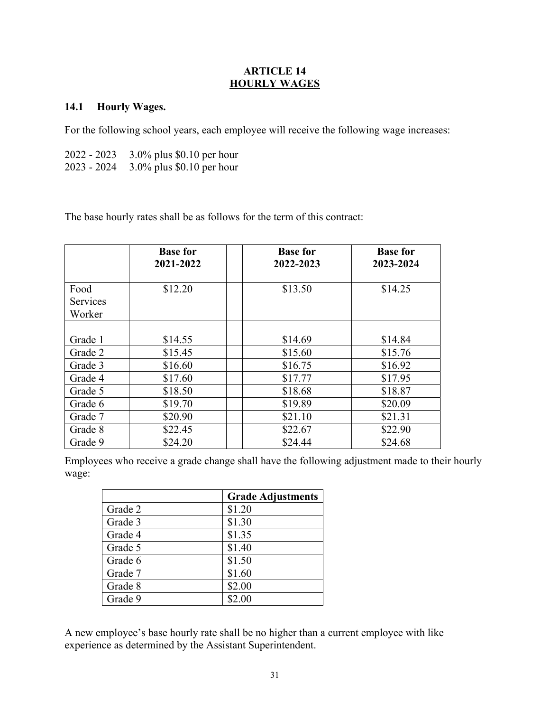#### **ARTICLE 14 HOURLY WAGES**

#### **14.1 Hourly Wages.**

For the following school years, each employee will receive the following wage increases:

| 2022 - 2023   | $3.0\%$ plus \$0.10 per hour |
|---------------|------------------------------|
| $2023 - 2024$ | $3.0\%$ plus \$0.10 per hour |

The base hourly rates shall be as follows for the term of this contract:

|                  | <b>Base for</b><br>2021-2022 | <b>Base for</b><br>2022-2023 | <b>Base for</b><br>2023-2024 |
|------------------|------------------------------|------------------------------|------------------------------|
| Food<br>Services | \$12.20                      | \$13.50                      | \$14.25                      |
| Worker           |                              |                              |                              |
| Grade 1          | \$14.55                      | \$14.69                      | \$14.84                      |
| Grade 2          | \$15.45                      | \$15.60                      | \$15.76                      |
| Grade 3          | \$16.60                      | \$16.75                      | \$16.92                      |
| Grade 4          | \$17.60                      | \$17.77                      | \$17.95                      |
| Grade 5          | \$18.50                      | \$18.68                      | \$18.87                      |
| Grade 6          | \$19.70                      | \$19.89                      | \$20.09                      |
| Grade 7          | \$20.90                      | \$21.10                      | \$21.31                      |
| Grade 8          | \$22.45                      | \$22.67                      | \$22.90                      |
| Grade 9          | \$24.20                      | \$24.44                      | \$24.68                      |

Employees who receive a grade change shall have the following adjustment made to their hourly wage:

|         | <b>Grade Adjustments</b> |
|---------|--------------------------|
| Grade 2 | \$1.20                   |
| Grade 3 | \$1.30                   |
| Grade 4 | \$1.35                   |
| Grade 5 | \$1.40                   |
| Grade 6 | \$1.50                   |
| Grade 7 | \$1.60                   |
| Grade 8 | \$2.00                   |
| Grade 9 | \$2.00                   |

A new employee's base hourly rate shall be no higher than a current employee with like experience as determined by the Assistant Superintendent.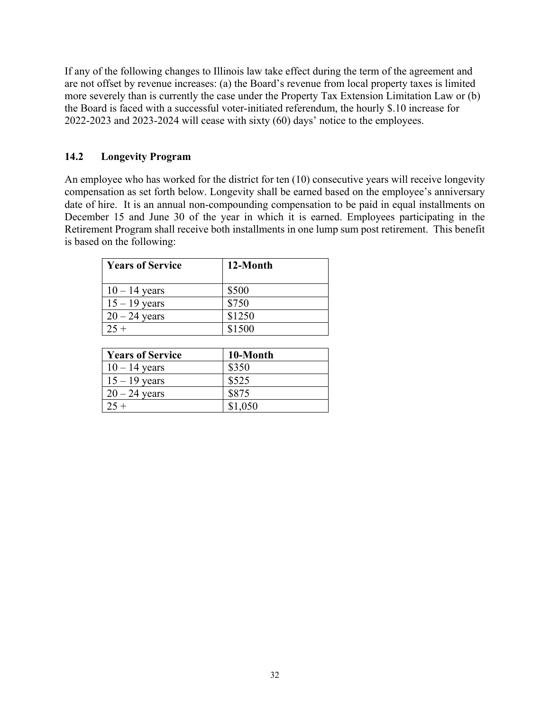If any of the following changes to Illinois law take effect during the term of the agreement and are not offset by revenue increases: (a) the Board's revenue from local property taxes is limited more severely than is currently the case under the Property Tax Extension Limitation Law or (b) the Board is faced with a successful voter-initiated referendum, the hourly \$.10 increase for 2022-2023 and 2023-2024 will cease with sixty (60) days' notice to the employees.

#### **14.2 Longevity Program**

An employee who has worked for the district for ten (10) consecutive years will receive longevity compensation as set forth below. Longevity shall be earned based on the employee's anniversary date of hire. It is an annual non-compounding compensation to be paid in equal installments on December 15 and June 30 of the year in which it is earned. Employees participating in the Retirement Program shall receive both installments in one lump sum post retirement. This benefit is based on the following:

| <b>Years of Service</b> | 12-Month |
|-------------------------|----------|
| $10 - 14$ years         | \$500    |
| $15 - 19$ years         | \$750    |
| $20 - 24$ years         | \$1250   |
| $25 +$                  | \$1500   |

| <b>Years of Service</b> | 10-Month |
|-------------------------|----------|
| $10 - 14$ years         | \$350    |
| $15 - 19$ years         | \$525    |
| $20 - 24$ years         | \$875    |
| $25 +$                  | \$1,050  |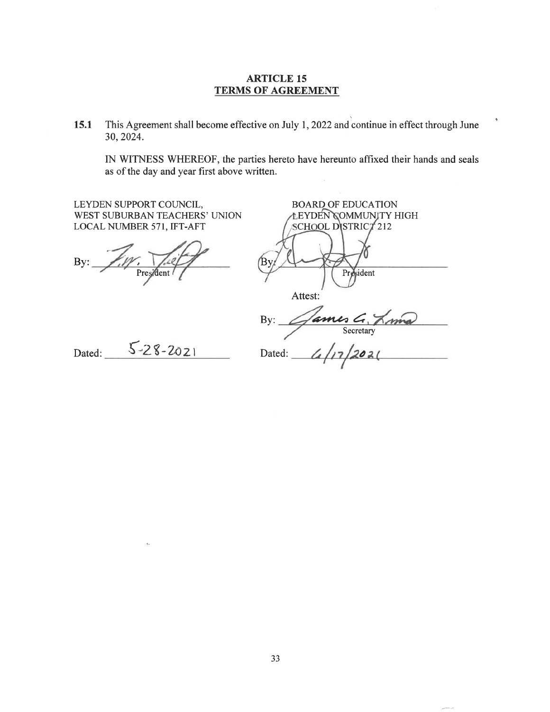#### **ARTICLE 15 TERMS OF AGREEMENT**

This Agreement shall become effective on July 1, 2022 and continue in effect through June 15.1 30, 2024.

IN WITNESS WHEREOF, the parties hereto have hereunto affixed their hands and seals as of the day and year first above written.

 $\vec{r}$ 

| LEYDEN SUPPORT COUNCIL,<br>WEST SUBURBAN TEACHERS' UNION<br>LOCAL NUMBER 571, IFT-AFT | <b>BOARD OF EDUCATION</b><br>LEYDEN COMMUNITY HIGH<br><b>SCHOOL DISTRICT 212</b> |
|---------------------------------------------------------------------------------------|----------------------------------------------------------------------------------|
| By:<br>President                                                                      | $\mathbf{B}$<br>President                                                        |
|                                                                                       | Attest:                                                                          |
|                                                                                       | James G. Anna<br>By:                                                             |
| $5 - 28 - 2021$<br>Dated:                                                             | Dated:                                                                           |
|                                                                                       |                                                                                  |

 $\epsilon$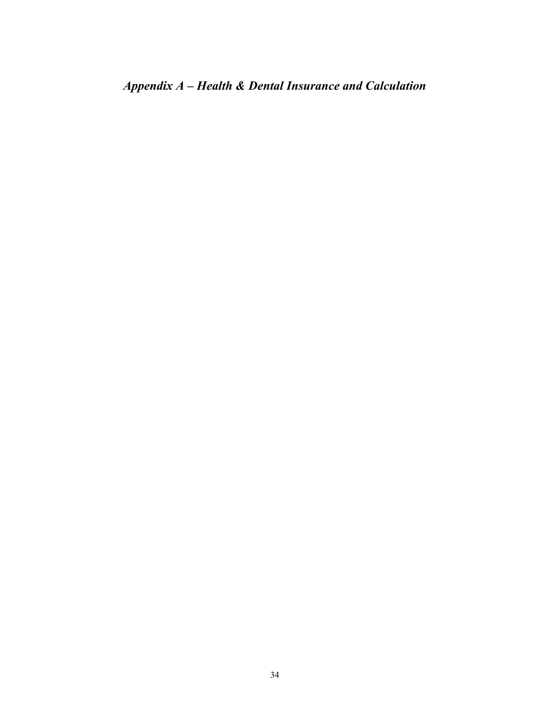*Appendix A – Health & Dental Insurance and Calculation*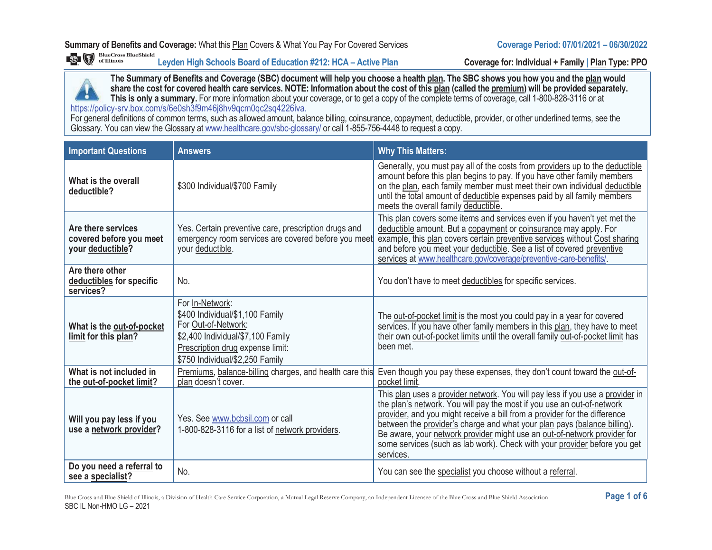**Leyden High Schools Board of Education #212: HCA – Active Plan Coverage for: Individual + Family** | **Plan Type: PPO**



**The Summary of Benefits and Coverage (SBC) document will help you choose a health plan. The SBC shows you how you and the plan would share the cost for covered health care services. NOTE: Information about the cost of this plan (called the premium) will be provided separately. This is only a summary.** For more information about your coverage, or to get a copy of the complete terms of coverage, call 1-800-828-3116 or at https://policy-srv.box.com/s/6e0sh3f9m46j8hv9qcm0qc2sq4226iva.

For general definitions of common terms, such as allowed amount, balance billing, coinsurance, copayment, deductible, provider, or other underlined terms, see the Glossary. You can view the Glossary at www.healthcare.gov/sbc-glossary/ or call 1-855-756-4448 to request a copy.

| <b>Important Questions</b>                                        | <b>Answers</b>                                                                                                                                                                        | <b>Why This Matters:</b>                                                                                                                                                                                                                                                                                                                                                                                                                                                               |
|-------------------------------------------------------------------|---------------------------------------------------------------------------------------------------------------------------------------------------------------------------------------|----------------------------------------------------------------------------------------------------------------------------------------------------------------------------------------------------------------------------------------------------------------------------------------------------------------------------------------------------------------------------------------------------------------------------------------------------------------------------------------|
| What is the overall<br>deductible?                                | \$300 Individual/\$700 Family                                                                                                                                                         | Generally, you must pay all of the costs from providers up to the deductible<br>amount before this plan begins to pay. If you have other family members<br>on the plan, each family member must meet their own individual deductible<br>until the total amount of deductible expenses paid by all family members<br>meets the overall family deductible.                                                                                                                               |
| Are there services<br>covered before you meet<br>your deductible? | Yes. Certain preventive care, prescription drugs and<br>emergency room services are covered before you meet<br>your deductible.                                                       | This plan covers some items and services even if you haven't yet met the<br>deductible amount. But a copayment or coinsurance may apply. For<br>example, this plan covers certain preventive services without Cost sharing<br>and before you meet your deductible. See a list of covered preventive<br>services at www.healthcare.gov/coverage/preventive-care-benefits/.                                                                                                              |
| Are there other<br>deductibles for specific<br>services?          | No.                                                                                                                                                                                   | You don't have to meet deductibles for specific services.                                                                                                                                                                                                                                                                                                                                                                                                                              |
| What is the out-of-pocket<br>limit for this plan?                 | For In-Network:<br>\$400 Individual/\$1,100 Family<br>For Out-of-Network:<br>\$2,400 Individual/\$7,100 Family<br>Prescription drug expense limit:<br>\$750 Individual/\$2,250 Family | The out-of-pocket limit is the most you could pay in a year for covered<br>services. If you have other family members in this plan, they have to meet<br>their own out-of-pocket limits until the overall family out-of-pocket limit has<br>been met.                                                                                                                                                                                                                                  |
| What is not included in<br>the out-of-pocket limit?               | Premiums, balance-billing charges, and health care this<br>plan doesn't cover.                                                                                                        | Even though you pay these expenses, they don't count toward the out-of-<br>pocket limit.                                                                                                                                                                                                                                                                                                                                                                                               |
| Will you pay less if you<br>use a network provider?               | Yes. See www.bcbsil.com or call<br>1-800-828-3116 for a list of network providers.                                                                                                    | This plan uses a provider network. You will pay less if you use a provider in<br>the plan's network. You will pay the most if you use an out-of-network<br>provider, and you might receive a bill from a provider for the difference<br>between the provider's charge and what your plan pays (balance billing).<br>Be aware, your network provider might use an out-of-network provider for<br>some services (such as lab work). Check with your provider before you get<br>services. |
| Do you need a referral to<br>see a specialist?                    | No.                                                                                                                                                                                   | You can see the specialist you choose without a referral.                                                                                                                                                                                                                                                                                                                                                                                                                              |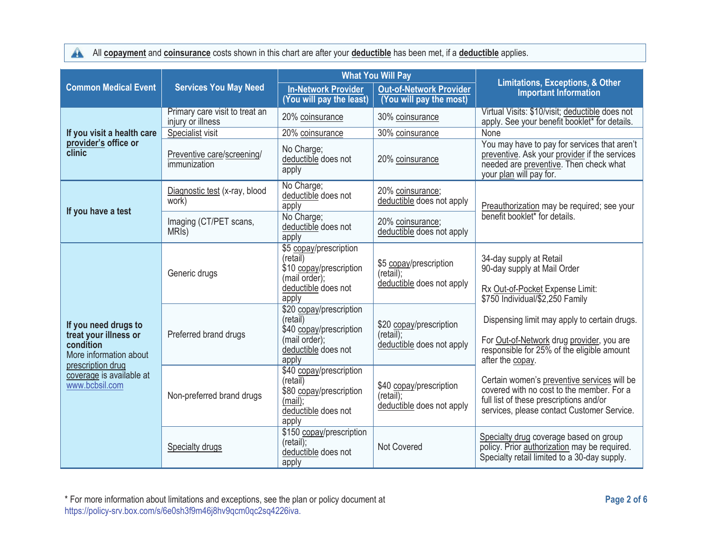All **copayment** and **coinsurance** costs shown in this chart are after your **deductible** has been met, if a **deductible** applies.

|                                                                                                                                                         | <b>Services You May Need</b>                        | <b>What You Will Pay</b>                                                                                        |                                                                      |                                                                                                                                                                                                                                                                                             |
|---------------------------------------------------------------------------------------------------------------------------------------------------------|-----------------------------------------------------|-----------------------------------------------------------------------------------------------------------------|----------------------------------------------------------------------|---------------------------------------------------------------------------------------------------------------------------------------------------------------------------------------------------------------------------------------------------------------------------------------------|
| <b>Common Medical Event</b>                                                                                                                             |                                                     | <b>In-Network Provider</b><br>(You will pay the least)                                                          | <b>Out-of-Network Provider</b><br>(You will pay the most)            | <b>Limitations, Exceptions, &amp; Other</b><br><b>Important Information</b>                                                                                                                                                                                                                 |
|                                                                                                                                                         | Primary care visit to treat an<br>injury or illness | 20% coinsurance                                                                                                 | 30% coinsurance                                                      | Virtual Visits: \$10/visit; deductible does not<br>apply. See your benefit booklet* for details.                                                                                                                                                                                            |
| If you visit a health care                                                                                                                              | Specialist visit                                    | 20% coinsurance                                                                                                 | 30% coinsurance                                                      | None                                                                                                                                                                                                                                                                                        |
| provider's office or<br>clinic                                                                                                                          | Preventive care/screening/<br>immunization          | No Charge;<br>deductible does not<br>apply                                                                      | 20% coinsurance                                                      | You may have to pay for services that aren't<br>preventive. Ask your provider if the services<br>needed are preventive. Then check what<br>your plan will pay for.                                                                                                                          |
|                                                                                                                                                         | Diagnostic test (x-ray, blood<br>work)              | No Charge;<br>deductible does not<br>apply                                                                      | 20% coinsurance;<br>deductible does not apply                        | Preauthorization may be required; see your                                                                                                                                                                                                                                                  |
| If you have a test                                                                                                                                      | Imaging (CT/PET scans,<br>MRI <sub>s</sub> )        | No Charge;<br>deductible does not<br>apply                                                                      | 20% coinsurance;<br>deductible does not apply                        | benefit booklet* for details.                                                                                                                                                                                                                                                               |
| If you need drugs to<br>treat your illness or<br>condition<br>More information about<br>prescription drug<br>coverage is available at<br>www.bcbsil.com | Generic drugs                                       | \$5 copay/prescription<br>(retail)<br>\$10 copay/prescription<br>(mail order);<br>deductible does not<br>apply  | \$5 copay/prescription<br>(retail)<br>deductible does not apply      | 34-day supply at Retail<br>90-day supply at Mail Order<br>Rx Out-of-Pocket Expense Limit:<br>\$750 Individual/\$2,250 Family<br>Dispensing limit may apply to certain drugs.<br>For Out-of-Network drug provider, you are<br>responsible for 25% of the eligible amount<br>after the copay. |
|                                                                                                                                                         | Preferred brand drugs                               | \$20 copay/prescription<br>(retail)<br>\$40 copay/prescription<br>(mail order);<br>deductible does not<br>apply | \$20 copay/prescription<br>(retail)<br>deductible does not apply     |                                                                                                                                                                                                                                                                                             |
|                                                                                                                                                         | Non-preferred brand drugs                           | \$40 copay/prescription<br>(retail)<br>\$80 copay/prescription<br>(mail):<br>deductible does not<br>apply       | \$40 copay/prescription<br>$(retail)$ ;<br>deductible does not apply | Certain women's preventive services will be<br>covered with no cost to the member. For a<br>full list of these prescriptions and/or<br>services, please contact Customer Service.                                                                                                           |
|                                                                                                                                                         | Specialty drugs                                     | \$150 copay/prescription<br>(retail);<br>deductible does not<br>apply                                           | Not Covered                                                          | Specialty drug coverage based on group<br>policy. Prior authorization may be required.<br>Specialty retail limited to a 30-day supply.                                                                                                                                                      |

\* For more information about limitations and exceptions, see the plan or policy document at **Page 2 of 6**  https://policy-srv.box.com/s/6e0sh3f9m46j8hv9qcm0qc2sq4226iva.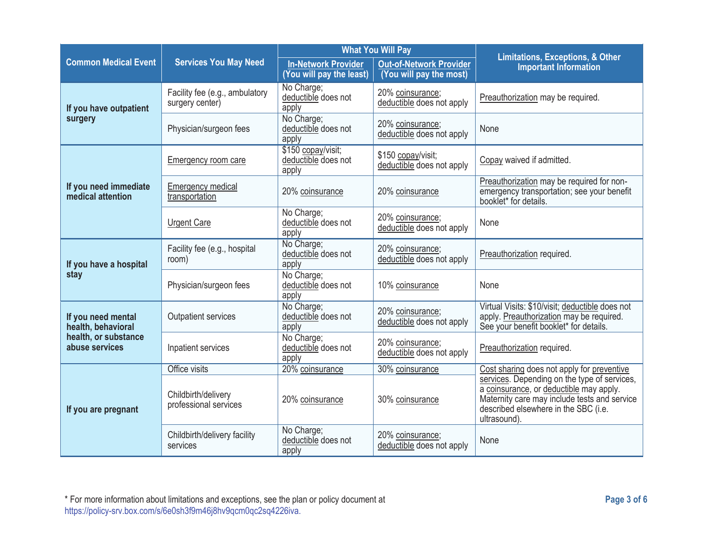|                                                                                    | <b>Services You May Need</b>                      | <b>What You Will Pay</b>                               |                                                           |                                                                                                                                                                                                 |
|------------------------------------------------------------------------------------|---------------------------------------------------|--------------------------------------------------------|-----------------------------------------------------------|-------------------------------------------------------------------------------------------------------------------------------------------------------------------------------------------------|
| <b>Common Medical Event</b>                                                        |                                                   | <b>In-Network Provider</b><br>(You will pay the least) | <b>Out-of-Network Provider</b><br>(You will pay the most) | <b>Limitations, Exceptions, &amp; Other</b><br><b>Important Information</b>                                                                                                                     |
| If you have outpatient                                                             | Facility fee (e.g., ambulatory<br>surgery center) | No Charge;<br>deductible does not<br>apply             | 20% coinsurance;<br>deductible does not apply             | Preauthorization may be required.                                                                                                                                                               |
| surgery                                                                            | Physician/surgeon fees                            | No Charge;<br>deductible does not<br>apply             | 20% coinsurance;<br>deductible does not apply             | None                                                                                                                                                                                            |
|                                                                                    | <b>Emergency room care</b>                        | \$150 copay/visit;<br>deductible does not<br>apply     | \$150 copay/visit;<br>deductible does not apply           | Copay waived if admitted.                                                                                                                                                                       |
| If you need immediate<br>medical attention                                         | <b>Emergency medical</b><br>transportation        | 20% coinsurance                                        | 20% coinsurance                                           | Preauthorization may be required for non-<br>emergency transportation; see your benefit<br>booklet* for details.                                                                                |
|                                                                                    | <b>Urgent Care</b>                                | No Charge;<br>deductible does not<br>apply             | 20% coinsurance;<br>deductible does not apply             | None                                                                                                                                                                                            |
| If you have a hospital                                                             | Facility fee (e.g., hospital<br>room)             | No Charge;<br>deductible does not<br>apply             | 20% coinsurance;<br>deductible does not apply             | Preauthorization required.                                                                                                                                                                      |
| stay                                                                               | Physician/surgeon fees                            | No Charge;<br>deductible does not<br>apply             | 10% coinsurance                                           | None                                                                                                                                                                                            |
| If you need mental<br>health, behavioral<br>health, or substance<br>abuse services | Outpatient services                               | No Charge;<br>deductible does not<br>apply             | 20% coinsurance;<br>deductible does not apply             | Virtual Visits: \$10/visit; deductible does not<br>apply. Preauthorization may be required.<br>See your benefit booklet* for details.                                                           |
|                                                                                    | Inpatient services                                | No Charge;<br>deductible does not<br>apply             | 20% coinsurance;<br>deductible does not apply             | Preauthorization required.                                                                                                                                                                      |
|                                                                                    | Office visits                                     | 20% coinsurance                                        | 30% coinsurance                                           | Cost sharing does not apply for preventive                                                                                                                                                      |
| If you are pregnant                                                                | Childbirth/delivery<br>professional services      | 20% coinsurance                                        | 30% coinsurance                                           | services. Depending on the type of services,<br>a coinsurance, or deductible may apply.<br>Maternity care may include tests and service<br>described elsewhere in the SBC (i.e.<br>ultrasound). |
|                                                                                    | Childbirth/delivery facility<br>services          | No Charge;<br>deductible does not<br>apply             | 20% coinsurance;<br>deductible does not apply             | None                                                                                                                                                                                            |

\* For more information about limitations and exceptions, see the plan or policy document at **Page 3 of 6**  https://policy-srv.box.com/s/6e0sh3f9m46j8hv9qcm0qc2sq4226iva.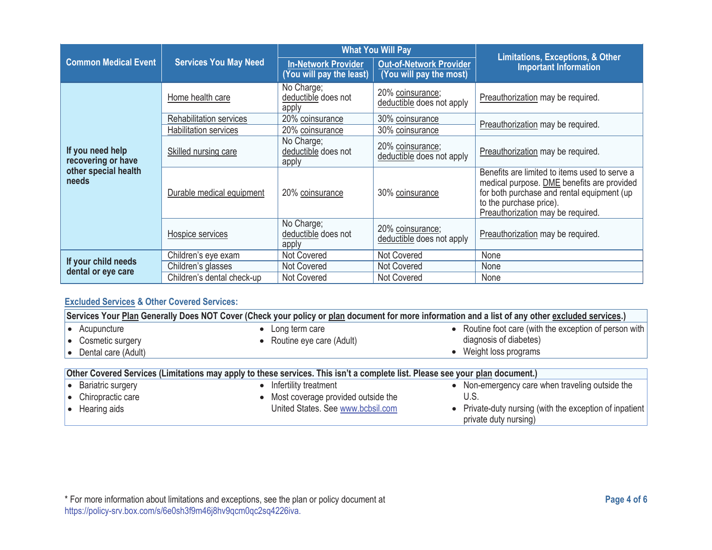|                                                                         |                              | <b>What You Will Pay</b>                               |                                                           |                                                                                                                                                                                                           |
|-------------------------------------------------------------------------|------------------------------|--------------------------------------------------------|-----------------------------------------------------------|-----------------------------------------------------------------------------------------------------------------------------------------------------------------------------------------------------------|
| <b>Common Medical Event</b>                                             | <b>Services You May Need</b> | <b>In-Network Provider</b><br>(You will pay the least) | <b>Out-of-Network Provider</b><br>(You will pay the most) | <b>Limitations, Exceptions, &amp; Other</b><br><b>Important Information</b>                                                                                                                               |
|                                                                         | Home health care             | No Charge;<br>deductible does not<br>apply             | 20% coinsurance;<br>deductible does not apply             | Preauthorization may be required.                                                                                                                                                                         |
|                                                                         | Rehabilitation services      | 20% coinsurance                                        | 30% coinsurance                                           | Preauthorization may be required.                                                                                                                                                                         |
|                                                                         | Habilitation services        | 20% coinsurance                                        | 30% coinsurance                                           |                                                                                                                                                                                                           |
| If you need help<br>recovering or have<br>other special health<br>needs | Skilled nursing care         | No Charge;<br>deductible does not<br>apply             | 20% coinsurance;<br>deductible does not apply             | Preauthorization may be required.                                                                                                                                                                         |
|                                                                         | Durable medical equipment    | 20% coinsurance                                        | 30% coinsurance                                           | Benefits are limited to items used to serve a<br>medical purpose. DME benefits are provided<br>for both purchase and rental equipment (up<br>to the purchase price).<br>Preauthorization may be required. |
|                                                                         | Hospice services             | No Charge;<br>deductible does not<br>apply             | 20% coinsurance;<br>deductible does not apply             | Preauthorization may be required.                                                                                                                                                                         |
|                                                                         | Children's eye exam          | <b>Not Covered</b>                                     | Not Covered                                               | None                                                                                                                                                                                                      |
| If your child needs<br>dental or eye care                               | Children's glasses           | Not Covered                                            | Not Covered                                               | None                                                                                                                                                                                                      |
|                                                                         | Children's dental check-up   | <b>Not Covered</b>                                     | Not Covered                                               | None                                                                                                                                                                                                      |

#### **Excluded Services & Other Covered Services:**

| Services Your Plan Generally Does NOT Cover (Check your policy or plan document for more information and a list of any other excluded services.) |                                                                                                                              |                                                         |  |
|--------------------------------------------------------------------------------------------------------------------------------------------------|------------------------------------------------------------------------------------------------------------------------------|---------------------------------------------------------|--|
| Acupuncture                                                                                                                                      | Long term care                                                                                                               | • Routine foot care (with the exception of person with  |  |
| • Cosmetic surgery                                                                                                                               | • Routine eye care (Adult)                                                                                                   | diagnosis of diabetes)                                  |  |
| $\bullet$ Dental care (Adult)                                                                                                                    |                                                                                                                              | • Weight loss programs                                  |  |
|                                                                                                                                                  |                                                                                                                              |                                                         |  |
|                                                                                                                                                  | Other Covered Services (Limitations may apply to these services. This isn't a complete list. Please see your plan document.) |                                                         |  |
| <b>Bariatric surgery</b>                                                                                                                         | Infertility treatment                                                                                                        | • Non-emergency care when traveling outside the         |  |
| • Chiropractic care                                                                                                                              | Most coverage provided outside the                                                                                           | U.S.                                                    |  |
| $\bullet$ Hearing aids                                                                                                                           | United States. See www.bcbsil.com                                                                                            | • Private-duty nursing (with the exception of inpatient |  |
|                                                                                                                                                  |                                                                                                                              | private duty nursing)                                   |  |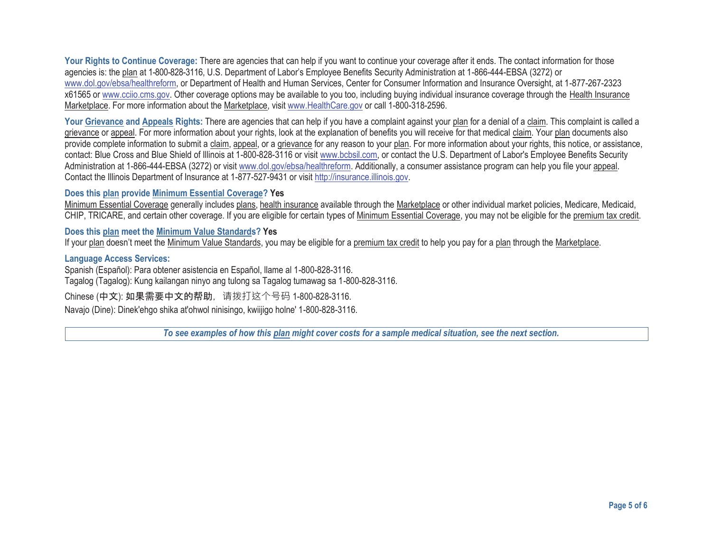Your Rights to Continue Coverage: There are agencies that can help if you want to continue your coverage after it ends. The contact information for those agencies is: the plan at 1-800-828-3116, U.S. Department of Labor's Employee Benefits Security Administration at 1-866-444-EBSA (3272) or www.dol.gov/ebsa/healthreform, or Department of Health and Human Services, Center for Consumer Information and Insurance Oversight, at 1-877-267-2323 x61565 or www.cciio.cms.gov. Other coverage options may be available to you too, including buying individual insurance coverage through the Health Insurance Marketplace. For more information about the Marketplace, visit www.HealthCare.gov or call 1-800-318-2596.

Your Grievance and Appeals Rights: There are agencies that can help if you have a complaint against your plan for a denial of a claim. This complaint is called a grievance or appeal. For more information about your rights, look at the explanation of benefits you will receive for that medical claim. Your plan documents also provide complete information to submit a claim, appeal, or a grievance for any reason to your plan. For more information about your rights, this notice, or assistance, contact: Blue Cross and Blue Shield of Illinois at 1-800-828-3116 or visit www.bcbsil.com, or contact the U.S. Department of Labor's Employee Benefits Security Administration at 1-866-444-EBSA (3272) or visit www.dol.gov/ebsa/healthreform. Additionally, a consumer assistance program can help you file your appeal. Contact the Illinois Department of Insurance at 1-877-527-9431 or visit http://insurance.illinois.gov.

#### **Does this plan provide Minimum Essential Coverage? Yes**

Minimum Essential Coverage generally includes plans, health insurance available through the Marketplace or other individual market policies, Medicare, Medicaid, CHIP, TRICARE, and certain other coverage. If you are eligible for certain types of Minimum Essential Coverage, you may not be eligible for the premium tax credit.

#### **Does this plan meet the Minimum Value Standards? Yes**

If your plan doesn't meet the Minimum Value Standards, you may be eligible for a premium tax credit to help you pay for a plan through the Marketplace.

#### **Language Access Services:**

Spanish (Español): Para obtener asistencia en Español, llame al 1-800-828-3116. Tagalog (Tagalog): Kung kailangan ninyo ang tulong sa Tagalog tumawag sa 1-800-828-3116.

Chinese (中文): 如果需要中文的帮助, 请拨打这个号码 1-800-828-3116.

Navajo (Dine): Dinek'ehgo shika at'ohwol ninisingo, kwiijigo holne' 1-800-828-3116.

*To see examples of how this plan might cover costs for a sample medical situation, see the next section.*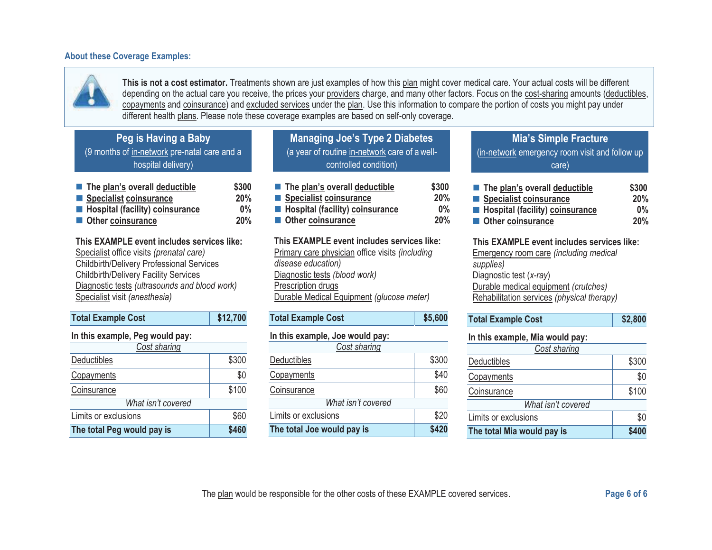#### **About these Coverage Examples:**



**This is not a cost estimator.** Treatments shown are just examples of how this plan might cover medical care. Your actual costs will be different depending on the actual care you receive, the prices your providers charge, and many other factors. Focus on the cost-sharing amounts (deductibles, copayments and coinsurance) and excluded services under the plan. Use this information to compare the portion of costs you might pay under different health plans. Please note these coverage examples are based on self-only coverage.

|  |  | Peg is Having a Baby |
|--|--|----------------------|
|--|--|----------------------|

(9 months of in-network pre-natal care and a hospital delivery)

| The plan's overall deductible     | \$300 |
|-----------------------------------|-------|
| Specialist coinsurance            | 20%   |
| ■ Hospital (facility) coinsurance | $0\%$ |
| ■ Other coinsurance               | 20%   |

**This EXAMPLE event includes services like:** 

Specialist office visits *(prenatal care)* Childbirth/Delivery Professional Services Childbirth/Delivery Facility Services Diagnostic tests *(ultrasounds and blood work)* Specialist visit *(anesthesia)* 

| <b>Total Example Cost</b>       | \$12,700 |  |
|---------------------------------|----------|--|
| In this example, Peg would pay: |          |  |
| Cost sharing                    |          |  |
| <b>Deductibles</b>              | \$300    |  |
| Copayments                      | \$0      |  |
| Coinsurance                     | \$100    |  |
| What isn't covered              |          |  |
| Limits or exclusions            | \$60     |  |
| The total Peg would pay is      | \$460    |  |

**Managing Joe's Type 2 Diabetes**  (a year of routine in-network care of a wellcontrolled condition)

| The plan's overall deductible                 | \$300 |
|-----------------------------------------------|-------|
| Specialist coinsurance                        | 20%   |
| <b>Entity</b> Hospital (facility) coinsurance | $0\%$ |
| Other coinsurance                             | 20%   |

**This EXAMPLE event includes services like:** Primary care physician office visits *(including disease education)* Diagnostic tests *(blood work)* Prescription drugs Durable Medical Equipment *(glucose meter)* 

| <b>Total Example Cost</b>       | \$5,600 |  |
|---------------------------------|---------|--|
| In this example, Joe would pay: |         |  |
| Cost sharing                    |         |  |
| Deductibles                     | \$300   |  |
| Copayments                      | \$40    |  |
| Coinsurance                     | \$60    |  |
| What isn't covered              |         |  |
| Limits or exclusions            | \$20    |  |
| The total Joe would pay is      | \$420   |  |

**Mia's Simple Fracture**  (in-network emergency room visit and follow up care)

| The plan's overall deductible            | \$300 |
|------------------------------------------|-------|
| Specialist coinsurance                   | 20%   |
| <b>E</b> Hospital (facility) coinsurance | $0\%$ |
| Other coinsurance                        | 20%   |

**This EXAMPLE event includes services like:** 

Emergency room care *(including medical supplies)*  Diagnostic test (*x-ray*) Durable medical equipment *(crutches)* Rehabilitation services *(physical therapy)* 

| <b>Total Example Cost</b> | \$2,800 |
|---------------------------|---------|
|                           |         |

#### **In this example, Mia would pay:**

| Cost sharing               |       |  |
|----------------------------|-------|--|
| Deductibles                | \$300 |  |
| Copayments                 | \$0   |  |
| <b>Coinsurance</b>         | \$100 |  |
| What isn't covered         |       |  |
| Limits or exclusions       | \$0   |  |
| The total Mia would pay is | \$400 |  |

The plan would be responsible for the other costs of these EXAMPLE covered services. **Page 6 of 6 Page 6 of 6**